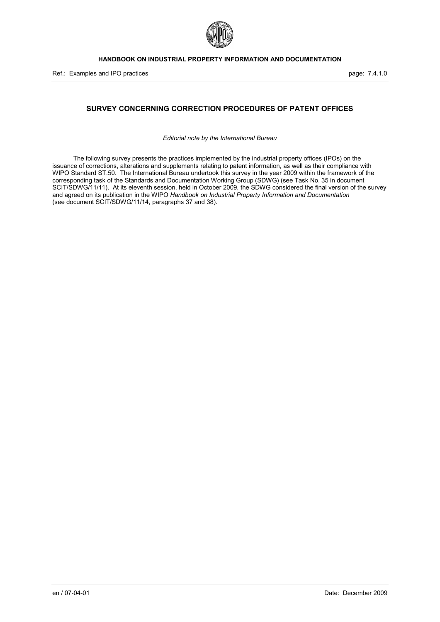

# **SURVEY CONCERNING CORRECTION PROCEDURES OF PATENT OFFICES**

*Editorial note by the International Bureau*

The following survey presents the practices implemented by the industrial property offices (IPOs) on the issuance of corrections, alterations and supplements relating to patent information, as well as their compliance with WIPO Standard ST.50. The International Bureau undertook this survey in the year 2009 within the framework of the corresponding task of the Standards and Documentation Working Group (SDWG) (see Task No. 35 in document SCIT/SDWG/11/11). At its eleventh session, held in October 2009, the SDWG considered the final version of the survey and agreed on its publication in the WIPO *Handbook on Industrial Property Information and Documentation* (see document SCIT/SDWG/11/14, paragraphs 37 and 38).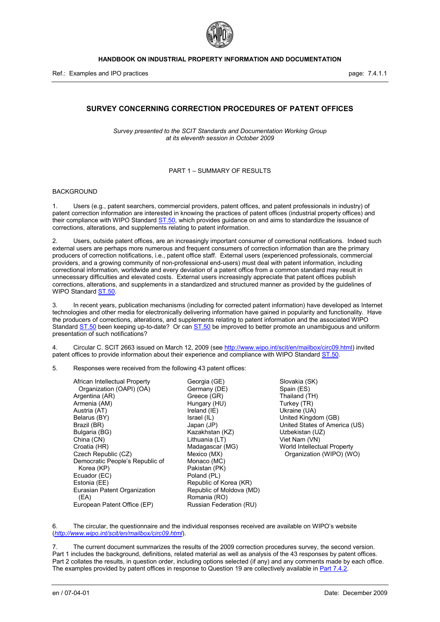

# **SURVEY CONCERNING CORRECTION PROCEDURES OF PATENT OFFICES**

*Survey presented to the SCIT Standards and Documentation Working Group at its eleventh session in October 2009*

### PART 1 – SUMMARY OF RESULTS

#### BACKGROUND

1. Users (e.g., patent searchers, commercial providers, patent offices, and patent professionals in industry) of patent correction information are interested in knowing the practices of patent offices (industrial property offices) and their compliance with WIPO Standard ST.50, which provides guidance on and aims to standardize the issuance of corrections, alterations, and supplements relating to patent information.

2. Users, outside patent offices, are an increasingly important consumer of correctional notifications. Indeed such external users are perhaps more numerous and frequent consumers of correction information than are the primary producers of correction notifications, i.e., patent office staff. External users (experienced professionals, commercial providers, and a growing community of non-professional end-users) must deal with patent information, including correctional information, worldwide and every deviation of a patent office from a common standard may result in unnecessary difficulties and elevated costs. External users increasingly appreciate that patent offices publish corrections, alterations, and supplements in a standardized and structured manner as provided by the guidelines of WIPO Standard ST.50.

3. In recent years, publication mechanisms (including for corrected patent information) have developed as Internet technologies and other media for electronically delivering information have gained in popularity and functionality. Have the producers of corrections, alterations, and supplements relating to patent information and the associated WIPO Standard ST.50 been keeping up-to-date? Or can ST.50 be improved to better promote an unambiguous and uniform presentation of such notifications?

4. Circular C. SCIT 2663 issued on March 12, 2009 (see [http://www.wipo.int/scit/en/mailbox/circ09.html\)](http://www.wipo.int/scit/en/mailbox/circ09.html) invited patent offices to provide information about their experience and compliance with WIPO Standard ST.50.

5. Responses were received from the following 43 patent offices:

African Intellectual Property Organization (OAPI) (OA) Argentina (AR) Armenia (AM) Austria (AT) Belarus (BY) Brazil (BR) Bulgaria (BG) China (CN) Croatia (HR) Czech Republic (CZ) Democratic People's Republic of Korea (KP) Ecuador (EC) Estonia (EE) Eurasian Patent Organization (EA) European Patent Office (EP)

Georgia (GE) Germany (DE) Greece (GR) Hungary (HU) Ireland (IE) Israel (IL) Japan (JP) Kazakhstan (KZ) Lithuania (LT) Madagascar (MG) Mexico (MX) Monaco (MC) Pakistan (PK) Poland (PL) Republic of Korea (KR) Republic of Moldova (MD) Romania (RO) Russian Federation (RU)

Slovakia (SK) Spain (ES) Thailand (TH) Turkey (TR) Ukraine (UA) United Kingdom (GB) United States of America (US) Uzbekistan (UZ) Viet Nam (VN) World Intellectual Property Organization (WIPO) (WO)

6. The circular, the questionnaire and the individual responses received are available on WIPO's website (*<http://www.wipo.int/scit/en/mailbox/circ09.html>*).

7. The current document summarizes the results of the 2009 correction procedures survey, the second version. Part 1 includes the background, definitions, related material as well as analysis of the 43 responses by patent offices. Part 2 collates the results, in question order, including options selected (if any) and any comments made by each office. The examples provided by patent offices in response to Question 19 are collectively available in Part 7.4.2.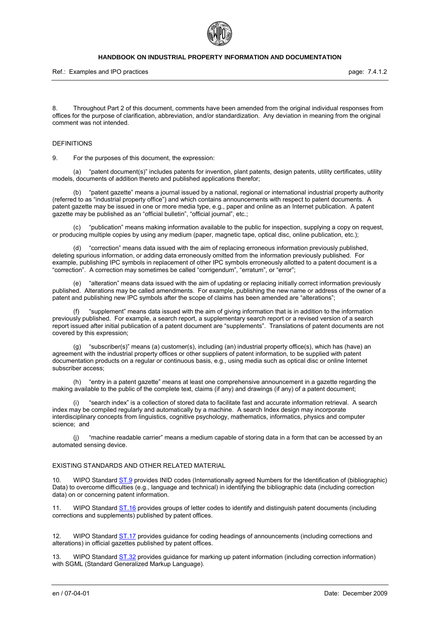

Ref.: Examples and IPO practices **page: 7.4.1.2** page: 7.4.1.2

8. Throughout Part 2 of this document, comments have been amended from the original individual responses from offices for the purpose of clarification, abbreviation, and/or standardization. Any deviation in meaning from the original comment was not intended.

#### DEFINITIONS

9. For the purposes of this document, the expression:

(a) "patent document(s)" includes patents for invention, plant patents, design patents, utility certificates, utility models, documents of addition thereto and published applications therefor;

(b) "patent gazette" means a journal issued by a national, regional or international industrial property authority (referred to as "industrial property office") and which contains announcements with respect to patent documents. A patent gazette may be issued in one or more media type, e.g., paper and online as an Internet publication. A patent gazette may be published as an "official bulletin", "official journal", etc.;

"publication" means making information available to the public for inspection, supplying a copy on request, or producing multiple copies by using any medium (paper, magnetic tape, optical disc, online publication, etc.);

(d) "correction" means data issued with the aim of replacing erroneous information previously published, deleting spurious information, or adding data erroneously omitted from the information previously published. For example, publishing IPC symbols in replacement of other IPC symbols erroneously allotted to a patent document is a "correction". A correction may sometimes be called "corrigendum", "erratum", or "error";

(e) "alteration" means data issued with the aim of updating or replacing initially correct information previously published. Alterations may be called amendments. For example, publishing the new name or address of the owner of a patent and publishing new IPC symbols after the scope of claims has been amended are "alterations";

(f) "supplement" means data issued with the aim of giving information that is in addition to the information previously published. For example, a search report, a supplementary search report or a revised version of a search report issued after initial publication of a patent document are "supplements". Translations of patent documents are not covered by this expression;

"subscriber(s)" means (a) customer(s), including (an) industrial property office(s), which has (have) an agreement with the industrial property offices or other suppliers of patent information, to be supplied with patent documentation products on a regular or continuous basis, e.g., using media such as optical disc or online Internet subscriber access;

(h) "entry in a patent gazette" means at least one comprehensive announcement in a gazette regarding the making available to the public of the complete text, claims (if any) and drawings (if any) of a patent document;

(i) "search index" is a collection of stored data to facilitate fast and accurate information retrieval. A search index may be compiled regularly and automatically by a machine. A search Index design may incorporate interdisciplinary concepts from linguistics, cognitive psychology, mathematics, informatics, physics and computer science; and

(j) "machine readable carrier" means a medium capable of storing data in a form that can be accessed by an automated sensing device.

# EXISTING STANDARDS AND OTHER RELATED MATERIAL

WIPO Standard ST.9 provides INID codes (Internationally agreed Numbers for the Identification of (bibliographic) Data) to overcome difficulties (e.g., language and technical) in identifying the bibliographic data (including correction data) on or concerning patent information.

WIPO Standard ST.16 provides groups of letter codes to identify and distinguish patent documents (including corrections and supplements) published by patent offices.

12. WIPO Standard ST.17 provides guidance for coding headings of announcements (including corrections and alterations) in official gazettes published by patent offices.

13. WIPO Standard ST.32 provides guidance for marking up patent information (including correction information) with SGML (Standard Generalized Markup Language).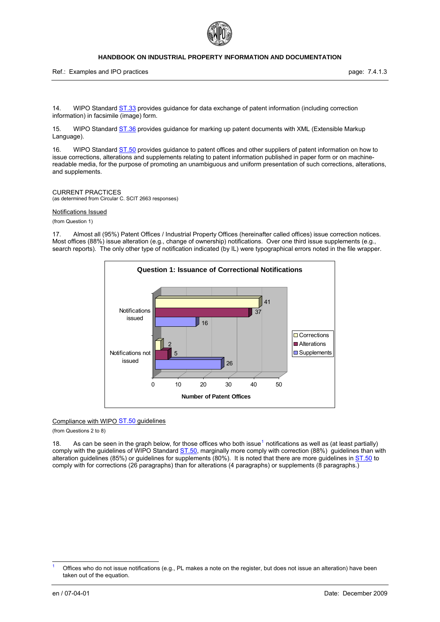

Ref.: Examples and IPO practices **page: 7.4.1.3** page: 7.4.1.3

14. WIPO Standard ST.33 provides guidance for data exchange of patent information (including correction information) in facsimile (image) form.

15. WIPO Standard ST.36 provides guidance for marking up patent documents with XML (Extensible Markup Language).

16. WIPO Standard ST.50 provides guidance to patent offices and other suppliers of patent information on how to issue corrections, alterations and supplements relating to patent information published in paper form or on machinereadable media, for the purpose of promoting an unambiguous and uniform presentation of such corrections, alterations, and supplements.

#### CURRENT PRACTICES

(as determined from Circular C. SCIT 2663 responses)

#### Notifications Issued

(from Question 1)

17. Almost all (95%) Patent Offices / Industrial Property Offices (hereinafter called offices) issue correction notices. Most offices (88%) issue alteration (e.g., change of ownership) notifications. Over one third issue supplements (e.g., search reports). The only other type of notification indicated (by IL) were typographical errors noted in the file wrapper.



#### Compliance with WIPO ST.50 guidelines

(from Questions 2 to 8)

[1](#page-3-0)8. As can be seen in the graph below, for those offices who both issue<sup>1</sup> notifications as well as (at least partially) comply with the guidelines of WIPO Standard ST.50, marginally more comply with correction (88%) guidelines than with alteration guidelines (85%) or guidelines for supplements (80%). It is noted that there are more guidelines in ST.50 to comply with for corrections (26 paragraphs) than for alterations (4 paragraphs) or supplements (8 paragraphs.)

 $\overline{a}$ 

<span id="page-3-0"></span><sup>1</sup> Offices who do not issue notifications (e.g., PL makes a note on the register, but does not issue an alteration) have been taken out of the equation.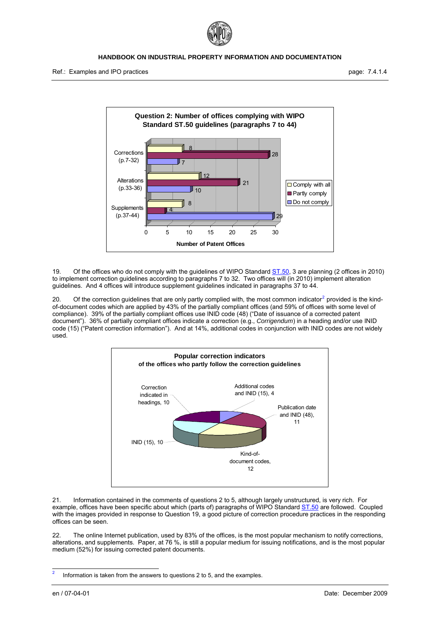



19. Of the offices who do not comply with the guidelines of WIPO Standard ST.50, 3 are planning (2 offices in 2010) to implement correction guidelines according to paragraphs 7 to 32. Two offices will (in 2010) implement alteration guidelines. And 4 offices will introduce supplement guidelines indicated in paragraphs 37 to 44.

[2](#page-4-0)0. Of the correction guidelines that are only partly complied with, the most common indicator<sup>2</sup> provided is the kindof-document codes which are applied by 43% of the partially compliant offices (and 59% of offices with some level of compliance). 39% of the partially compliant offices use INID code (48) ("Date of issuance of a corrected patent document"). 36% of partially compliant offices indicate a correction (e.g., *Corrigendum*) in a heading and/or use INID code (15) ("Patent correction information"). And at 14%, additional codes in conjunction with INID codes are not widely used.



21. Information contained in the comments of questions 2 to 5, although largely unstructured, is very rich. For example, offices have been specific about which (parts of) paragraphs of WIPO Standard ST.50 are followed. Coupled with the images provided in response to Question 19, a good picture of correction procedure practices in the responding offices can be seen.

22. The online Internet publication, used by 83% of the offices, is the most popular mechanism to notify corrections, alterations, and supplements. Paper, at 76 %, is still a popular medium for issuing notifications, and is the most popular medium (52%) for issuing corrected patent documents.

<span id="page-4-0"></span> $\frac{1}{2}$ Information is taken from the answers to questions 2 to 5, and the examples.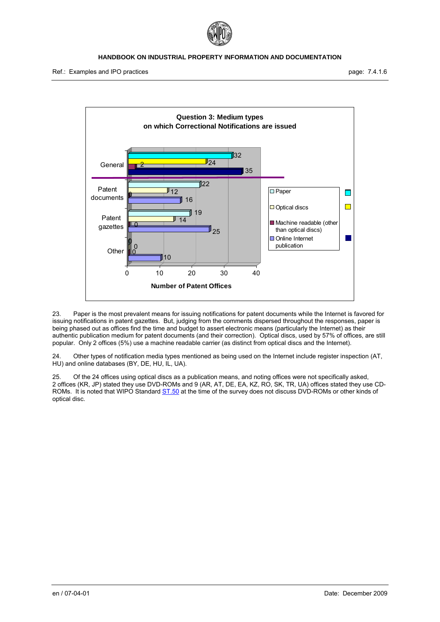



23. Paper is the most prevalent means for issuing notifications for patent documents while the Internet is favored for issuing notifications in patent gazettes. But, judging from the comments dispersed throughout the responses, paper is being phased out as offices find the time and budget to assert electronic means (particularly the Internet) as their authentic publication medium for patent documents (and their correction). Optical discs, used by 57% of offices, are still popular. Only 2 offices (5%) use a machine readable carrier (as distinct from optical discs and the Internet).

24. Other types of notification media types mentioned as being used on the Internet include register inspection (AT, HU) and online databases (BY, DE, HU, IL, UA).

25. Of the 24 offices using optical discs as a publication means, and noting offices were not specifically asked, 2 offices (KR, JP) stated they use DVD-ROMs and 9 (AR, AT, DE, EA, KZ, RO, SK, TR, UA) offices stated they use CD-ROMs. It is noted that WIPO Standard ST.50 at the time of the survey does not discuss DVD-ROMs or other kinds of optical disc.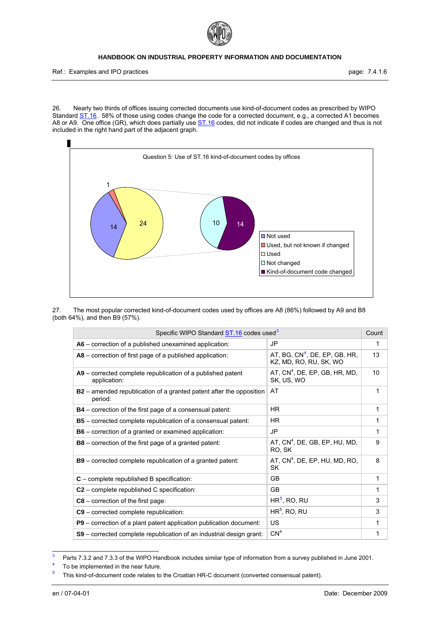

Ref.: Examples and IPO practices **page: 7.4.1.6** page: 7.4.1.6

26. Nearly two thirds of offices issuing corrected documents use kind-of-document codes as prescribed by WIPO Standard ST.16. 58% of those using codes change the code for a corrected document, e.g., a corrected A1 becomes A8 or A9. One office (GR), which does partially use ST.16 codes, did not indicate if codes are changed and thus is not included in the right hand part of the adjacent graph.



<span id="page-6-2"></span>27. The most popular corrected kind-of-document codes used by offices are A8 (86%) followed by A9 and B8 (both 64%), and then B9 (57%).

| Specific WIPO Standard ST.16 codes used <sup>3</sup>                                  |                                                           | Count |
|---------------------------------------------------------------------------------------|-----------------------------------------------------------|-------|
| A6 – correction of a published unexamined application:                                | JP                                                        | 1     |
| A8 – correction of first page of a published application:                             | AT, BG, $CN4$ , DE, EP, GB, HR,<br>KZ, MD, RO, RU, SK, WO | 13    |
| A9 - corrected complete republication of a published patent<br>application:           | AT, $CN4$ , DE, EP, GB, HR, MD,<br>SK, US, WO             | 10    |
| <b>B2</b> – amended republication of a granted patent after the opposition<br>period: | AT                                                        | 1     |
| <b>B4</b> – correction of the first page of a consensual patent:                      | <b>HR</b>                                                 | 1     |
| B5 - corrected complete republication of a consensual patent:                         | HR.                                                       | 1     |
| <b>B6</b> – correction of a granted or examined application:                          | JP                                                        | 1     |
| <b>B8</b> – correction of the first page of a granted patent:                         | AT, CN <sup>4</sup> , DE, GB, EP, HU, MD,<br>RO, SK       | 9     |
| <b>B9</b> – corrected complete republication of a granted patent:                     | AT, $CN^4$ , DE, EP, HU, MD, RO,<br><b>SK</b>             | 8     |
| $C$ – complete republished B specification:                                           | GB                                                        | 1     |
| $C2$ – complete republished C specification:                                          | <b>GB</b>                                                 | 1     |
| $C8$ – correction of the first page:                                                  | $HR5$ , RO, RU                                            | 3     |
| C9 – corrected complete republication:                                                | $HR5$ , RO, RU                                            | 3     |
| P9 - correction of a plant patent application publication document:                   | US                                                        | 1     |
| S9 - corrected complete republication of an industrial design grant:                  | CN <sup>4</sup>                                           | 1     |

<span id="page-6-4"></span><span id="page-6-0"></span><sup>-&</sup>lt;br>3 Parts 7.3.2 and 7.3.3 of the WIPO Handbook includes similar type of information from a survey published in June 2001.

<span id="page-6-1"></span>To be implemented in the near future.

<span id="page-6-3"></span><sup>5</sup> This kind-of-document code relates to the Croatian HR-C document (converted consensual patent).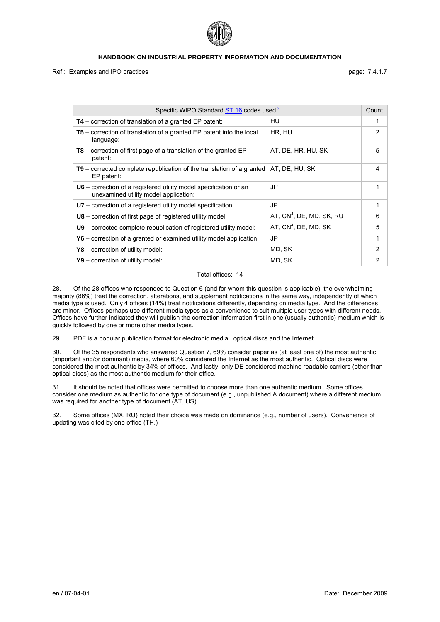

Ref.: Examples and IPO practices **page: 7.4.1.7** and intervals and intervals page: 7.4.1.7

| Specific WIPO Standard <b>ST.16</b> codes used <sup>3</sup>                                                  |                            | Count          |
|--------------------------------------------------------------------------------------------------------------|----------------------------|----------------|
| $T4$ – correction of translation of a granted EP patent:                                                     | HU                         | 1              |
| $T5$ – correction of translation of a granted EP patent into the local<br>language:                          | HR, HU                     | 2              |
| $T8$ – correction of first page of a translation of the granted EP<br>patent:                                | AT, DE, HR, HU, SK         | 5              |
| $T9$ – corrected complete republication of the translation of a granted<br>EP patent:                        | AT, DE, HU, SK             | 4              |
| $U6$ – correction of a registered utility model specification or an<br>unexamined utility model application: | JP                         | 1              |
| U7 – correction of a registered utility model specification:                                                 | JP                         | 1              |
| <b>U8</b> – correction of first page of registered utility model:                                            | AT, $CN4$ , DE, MD, SK, RU | 6              |
| U9 – corrected complete republication of registered utility model:                                           | AT, $CN4$ , DE, MD, SK     | 5              |
| $Y6$ – correction of a granted or examined utility model application:                                        | JP                         | 1              |
| $Y8$ – correction of utility model:                                                                          | MD, SK                     | $\mathfrak{p}$ |
| $Y9$ – correction of utility model:                                                                          | MD, SK                     | 2              |

### Total offices: 14

28. Of the 28 offices who responded to Question 6 (and for whom this question is applicable), the overwhelming majority (86%) treat the correction, alterations, and supplement notifications in the same way, independently of which media type is used. Only 4 offices (14%) treat notifications differently, depending on media type. And the differences are minor. Offices perhaps use different media types as a convenience to suit multiple user types with different needs. Offices have further indicated they will publish the correction information first in one (usually authentic) medium which is quickly followed by one or more other media types.

29. PDF is a popular publication format for electronic media: optical discs and the Internet.

30. Of the 35 respondents who answered Question 7, 69% consider paper as (at least one of) the most authentic (important and/or dominant) media, where 60% considered the Internet as the most authentic. Optical discs were considered the most authentic by 34% of offices. And lastly, only DE considered machine readable carriers (other than optical discs) as the most authentic medium for their office.

31. It should be noted that offices were permitted to choose more than one authentic medium. Some offices consider one medium as authentic for one type of document (e.g., unpublished A document) where a different medium was required for another type of document (AT, US).

32. Some offices (MX, RU) noted their choice was made on dominance (e.g., number of users). Convenience of updating was cited by one office (TH.)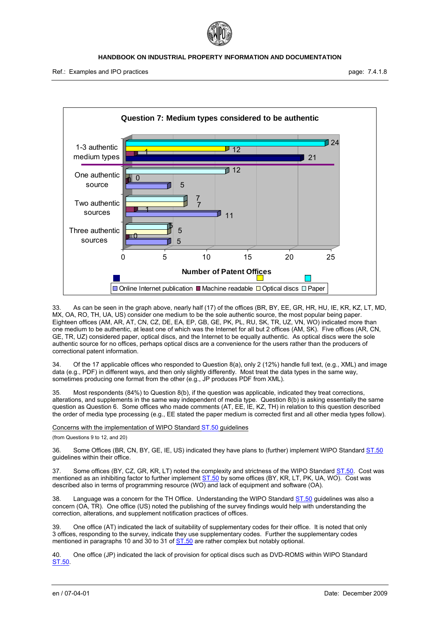



33. As can be seen in the graph above, nearly half (17) of the offices (BR, BY, EE, GR, HR, HU, IE, KR, KZ, LT, MD, MX, OA, RO, TH, UA, US) consider one medium to be the sole authentic source, the most popular being paper. Eighteen offices (AM, AR, AT, CN, CZ, DE, EA, EP, GB, GE, PK, PL, RU, SK, TR, UZ, VN, WO) indicated more than one medium to be authentic, at least one of which was the Internet for all but 2 offices (AM, SK). Five offices (AR, CN, GE, TR, UZ) considered paper, optical discs, and the Internet to be equally authentic. As optical discs were the sole authentic source for no offices, perhaps optical discs are a convenience for the users rather than the producers of correctional patent information.

Of the 17 applicable offices who responded to Question 8(a), only 2 (12%) handle full text, (e.g., XML) and image data (e.g., PDF) in different ways, and then only slightly differently. Most treat the data types in the same way, sometimes producing one format from the other (e.g., JP produces PDF from XML).

35. Most respondents (84%) to Question 8(b), if the question was applicable, indicated they treat corrections, alterations, and supplements in the same way independent of media type. Question 8(b) is asking essentially the same question as Question 6. Some offices who made comments (AT, EE, IE, KZ, TH) in relation to this question described the order of media type processing (e.g., EE stated the paper medium is corrected first and all other media types follow).

Concerns with the implementation of WIPO Standard ST.50 guidelines

(from Questions 9 to 12, and 20)

36. Some Offices (BR, CN, BY, GE, IE, US) indicated they have plans to (further) implement WIPO Standard ST.50 guidelines within their office.

37. Some offices (BY, CZ, GR, KR, LT) noted the complexity and strictness of the WIPO Standard ST.50. Cost was mentioned as an inhibiting factor to further implement ST.50 by some offices (BY, KR, LT, PK, UA, WO). Cost was described also in terms of programming resource (WO) and lack of equipment and software (OA).

38. Language was a concern for the TH Office. Understanding the WIPO Standard ST.50 guidelines was also a concern (OA, TR). One office (US) noted the publishing of the survey findings would help with understanding the correction, alterations, and supplement notification practices of offices.

39. One office (AT) indicated the lack of suitability of supplementary codes for their office. It is noted that only 3 offices, responding to the survey, indicate they use supplementary codes. Further the supplementary codes mentioned in paragraphs 10 and 30 to 31 of ST.50 are rather complex but notably optional.

40. One office (JP) indicated the lack of provision for optical discs such as DVD-ROMS within WIPO Standard ST.50.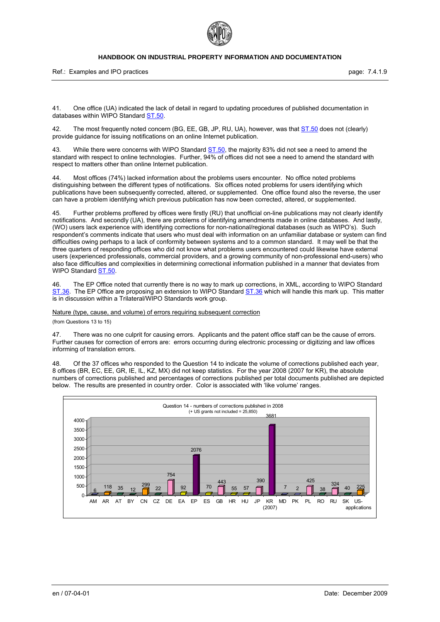

Ref.: Examples and IPO practices **page: 7.4.1.9** page: 7.4.1.9

41. One office (UA) indicated the lack of detail in regard to updating procedures of published documentation in databases within WIPO Standard ST.50.

42. The most frequently noted concern (BG, EE, GB, JP, RU, UA), however, was that ST.50 does not (clearly) provide guidance for issuing notifications on an online Internet publication.

43. While there were concerns with WIPO Standard ST.50, the majority 83% did not see a need to amend the standard with respect to online technologies. Further, 94% of offices did not see a need to amend the standard with respect to matters other than online Internet publication.

Most offices (74%) lacked information about the problems users encounter. No office noted problems distinguishing between the different types of notifications. Six offices noted problems for users identifying which publications have been subsequently corrected, altered, or supplemented. One office found also the reverse, the user can have a problem identifying which previous publication has now been corrected, altered, or supplemented.

45. Further problems proffered by offices were firstly (RU) that unofficial on-line publications may not clearly identify notifications. And secondly (UA), there are problems of identifying amendments made in online databases. And lastly, (WO) users lack experience with identifying corrections for non-national/regional databases (such as WIPO's). Such respondent's comments indicate that users who must deal with information on an unfamiliar database or system can find difficulties owing perhaps to a lack of conformity between systems and to a common standard. It may well be that the three quarters of responding offices who did not know what problems users encountered could likewise have external users (experienced professionals, commercial providers, and a growing community of non-professional end-users) who also face difficulties and complexities in determining correctional information published in a manner that deviates from WIPO Standard ST.50.

The EP Office noted that currently there is no way to mark up corrections, in XML, according to WIPO Standard ST.36. The EP Office are proposing an extension to WIPO Standard ST.36 which will handle this mark up. This matter is in discussion within a Trilateral/WIPO Standards work group.

Nature (type, cause, and volume) of errors requiring subsequent correction

(from Questions 13 to 15)

47. There was no one culprit for causing errors. Applicants and the patent office staff can be the cause of errors. Further causes for correction of errors are: errors occurring during electronic processing or digitizing and law offices informing of translation errors.

48. Of the 37 offices who responded to the Question 14 to indicate the volume of corrections published each year, 8 offices (BR, EC, EE, GR, IE, IL, KZ, MX) did not keep statistics. For the year 2008 (2007 for KR), the absolute numbers of corrections published and percentages of corrections published per total documents published are depicted below. The results are presented in country order. Color is associated with 'like volume' ranges.

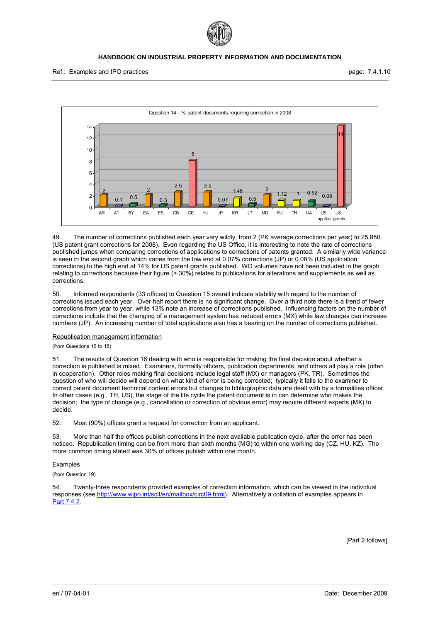



49. The number of corrections published each year vary wildly, from 2 (PK average corrections per year) to 25,850 (US patent grant corrections for 2008). Even regarding the US Office, it is interesting to note the rate of corrections published jumps when comparing corrections of applications to corrections of patents granted. A similarly wide variance is seen in the second graph which varies from the low end at 0.07% corrections (JP) or 0.08% (US application corrections) to the high end at 14% for US patent grants published. WO volumes have not been included in the graph relating to corrections because their figure (> 30%) relates to publications for alterations and supplements as well as corrections.

50. Informed respondents (33 offices) to Question 15 overall indicate stability with regard to the number of corrections issued each year. Over half report there is no significant change. Over a third note there is a trend of fewer corrections from year to year, while 13% note an increase of corrections published. Influencing factors on the number of corrections include that the changing of a management system has reduced errors (MX) while law changes can increase numbers (JP). An increasing number of total applications also has a bearing on the number of corrections published.

#### Republication management information

#### (from Questions 16 to 18)

51. The results of Question 16 dealing with who is responsible for making the final decision about whether a correction is published is mixed. Examiners, formality officers, publication departments, and others all play a role (often in cooperation). Other roles making final decisions include legal staff (MX) or managers (PK, TR). Sometimes the question of who will decide will depend on what kind of error is being corrected; typically it falls to the examiner to correct patent document technical content errors but changes to bibliographic data are dealt with by a formalities officer. In other cases (e.g., TH, US), the stage of the life cycle the patent document is in can determine who makes the decision; the type of change (e.g., cancellation or correction of obvious error) may require different experts (MX) to decide.

52. Most (90%) offices grant a request for correction from an applicant.

53. More than half the offices publish corrections in the next available publication cycle, after the error has been noticed. Republication timing can be from more than sixth months (MG) to within one working day (CZ, HU, KZ). The more common timing stated was 30% of offices publish within one month.

#### Examples

#### (from Question 19)

54. Twenty-three respondents provided examples of correction information, which can be viewed in the individual responses (see<http://www.wipo.int/scit/en/mailbox/circ09.html>). Alternatively a collation of examples appears in Part 7.4.2.

[Part 2 follows]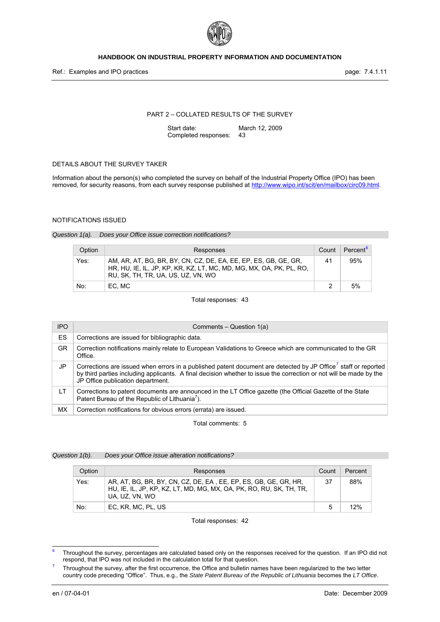

### PART 2 – COLLATED RESULTS OF THE SURVEY

Start date: March 12, 2009 Completed responses: 43

### DETAILS ABOUT THE SURVEY TAKER

Information about the person(s) who completed the survey on behalf of the Industrial Property Office (IPO) has been removed, for security reasons, from each survey response published at <http://www.wipo.int/scit/en/mailbox/circ09.html>.

#### NOTIFICATIONS ISSUED

#### *Question 1(a). Does your Office issue correction notifications?*

| Option | Responses                                                                                                                                                                    | Count | Percent <sup>b</sup> |
|--------|------------------------------------------------------------------------------------------------------------------------------------------------------------------------------|-------|----------------------|
| Yes:   | AM, AR, AT, BG, BR, BY, CN, CZ, DE, EA, EE, EP, ES, GB, GE, GR,<br>HR, HU, IE, IL, JP, KP, KR, KZ, LT, MC, MD, MG, MX, OA, PK, PL, RO,<br>RU. SK. TH. TR. UA. US. UZ. VN. WO | 41    | 95%                  |
| No:    | EC. MC                                                                                                                                                                       |       | 5%                   |

Total responses: 43

<span id="page-11-2"></span>

| <b>IPO</b> | Comments – Question 1(a)                                                                                                                                                                                                                                                              |
|------------|---------------------------------------------------------------------------------------------------------------------------------------------------------------------------------------------------------------------------------------------------------------------------------------|
| <b>ES</b>  | Corrections are issued for bibliographic data.                                                                                                                                                                                                                                        |
| <b>GR</b>  | Correction notifications mainly relate to European Validations to Greece which are communicated to the GR<br>Office.                                                                                                                                                                  |
| JP         | Corrections are issued when errors in a published patent document are detected by JP Office <sup>7</sup> staff or reported<br>by third parties including applicants. A final decision whether to issue the correction or not will be made by the<br>JP Office publication department. |
| LT.        | Corrections to patent documents are announced in the LT Office gazette (the Official Gazette of the State<br>Patent Bureau of the Republic of Lithuania <sup>7</sup> ).                                                                                                               |
| MX.        | Correction notifications for obvious errors (errata) are issued.                                                                                                                                                                                                                      |

Total comments: 5

# *Question 1(b). Does your Office issue alteration notifications?*

| Option | Responses                                                                                                                                                | Count | Percent |
|--------|----------------------------------------------------------------------------------------------------------------------------------------------------------|-------|---------|
| Yes:   | AR, AT, BG, BR, BY, CN, CZ, DE, EA, EE, EP, ES, GB, GE, GR, HR,<br>HU, IE, IL, JP, KP, KZ, LT, MD, MG, MX, OA, PK, RO, RU, SK, TH, TR,<br>UA, UZ, VN, WO | 37    | 88%     |
| No:    | EC, KR, MC, PL, US                                                                                                                                       | 5     | 12%     |

Total responses: 42

<span id="page-11-0"></span> 6 Throughout the survey, percentages are calculated based only on the responses received for the question. If an IPO did not respond, that IPO was not included in the calculation total for that question. 7

<span id="page-11-1"></span>Throughout the survey, after the first occurrence, the Office and bulletin names have been regularized to the two letter country code preceding "Office". Thus, e.g., the *State Patent Bureau of the Republic of Lithuania* becomes the *LT Office*.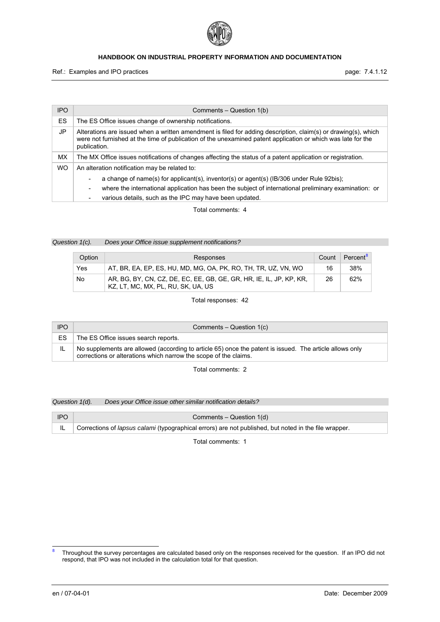

Ref.: Examples and IPO practices **page: 7.4.1.12** 

| <b>IPO</b> | Comments – Question 1(b)                                                                                                                                                                                                                       |
|------------|------------------------------------------------------------------------------------------------------------------------------------------------------------------------------------------------------------------------------------------------|
| <b>ES</b>  | The ES Office issues change of ownership notifications.                                                                                                                                                                                        |
| JP         | Alterations are issued when a written amendment is filed for adding description, claim(s) or drawing(s), which<br>were not furnished at the time of publication of the unexamined patent application or which was late for the<br>publication. |
| МX         | The MX Office issues notifications of changes affecting the status of a patent application or registration.                                                                                                                                    |
| <b>WO</b>  | An alteration notification may be related to:                                                                                                                                                                                                  |
|            | a change of name(s) for applicant(s), inventor(s) or agent(s) (IB/306 under Rule 92bis);<br>$\overline{\phantom{a}}$                                                                                                                           |
|            | where the international application has been the subject of international preliminary examination: or<br>۰.                                                                                                                                    |
|            | various details, such as the IPC may have been updated.<br>$\overline{\phantom{a}}$                                                                                                                                                            |

Total comments: 4

*Question 1(c). Does your Office issue supplement notifications?* 

| Option | Responses                                                                                                 | Count | Percent <sup>8</sup> |
|--------|-----------------------------------------------------------------------------------------------------------|-------|----------------------|
| Yes    | AT, BR, EA, EP, ES, HU, MD, MG, OA, PK, RO, TH, TR, UZ, VN, WO                                            | 16    | 38%                  |
| No     | AR, BG, BY, CN, CZ, DE, EC, EE, GB, GE, GR, HR, IE, IL, JP, KP, KR,<br>KZ, LT, MC, MX, PL, RU, SK, UA, US | 26    | 62%                  |

Total responses: 42

| <b>IPO</b> | Comments – Question 1(c)                                                                                                                                                    |
|------------|-----------------------------------------------------------------------------------------------------------------------------------------------------------------------------|
| ES         | The ES Office issues search reports.                                                                                                                                        |
|            | No supplements are allowed (according to article 65) once the patent is issued. The article allows only<br>corrections or alterations which narrow the scope of the claims. |

Total comments: 2

*Question 1(d). Does your Office issue other similar notification details?* 

| <b>IPO</b> | Comments – Question 1(d)                                                                                |
|------------|---------------------------------------------------------------------------------------------------------|
|            | L Corrections of lapsus calami (typographical errors) are not published, but noted in the file wrapper. |

<span id="page-12-0"></span> 8 Throughout the survey percentages are calculated based only on the responses received for the question. If an IPO did not respond, that IPO was not included in the calculation total for that question.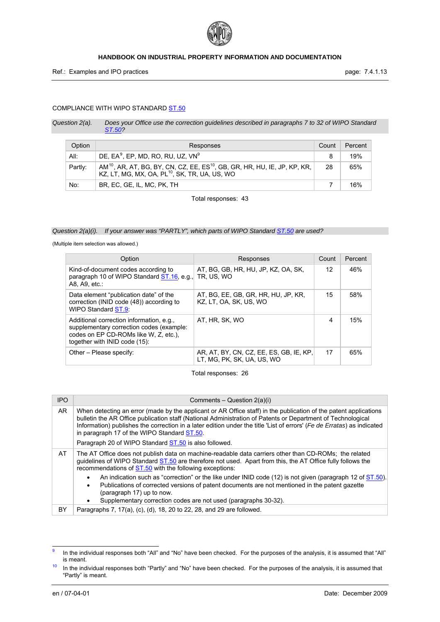

# COMPLIANCE WITH WIPO STANDARD ST.50

<span id="page-13-3"></span><span id="page-13-1"></span>*Question 2(a). Does your Office use the correction guidelines described in paragraphs 7 to 32 of WIPO Standard ST.50?* 

| Option  | Responses                                                                                                                                                      | Count | Percent |
|---------|----------------------------------------------------------------------------------------------------------------------------------------------------------------|-------|---------|
| All:    | DE, $EA^9$ , EP, MD, RO, RU, UZ, VN $^9$                                                                                                                       | 8     | 19%     |
| Partly: | AM <sup>10</sup> , AR, AT, BG, BY, CN, CZ, EE, ES <sup>10</sup> , GB, GR, HR, HU, IE, JP, KP, KR,<br>KZ, LT, MG, MX, OA, PL <sup>10</sup> , SK, TR, UA, US, WO | 28    | 65%     |
| No:     | BR, EC, GE, IL, MC, PK, TH                                                                                                                                     |       | 16%     |

Total responses: 43

# *Question 2(a)(i). If your answer was "PARTLY", which parts of WIPO Standard <i>ST.50* are used?

(Multiple item selection was allowed.)

| Option                                                                                                                                                         | Responses                                                             | Count | Percent |
|----------------------------------------------------------------------------------------------------------------------------------------------------------------|-----------------------------------------------------------------------|-------|---------|
| Kind-of-document codes according to<br>paragraph 10 of WIPO Standard ST.16, e.g.<br>A8. A9. etc.:                                                              | AT, BG, GB, HR, HU, JP, KZ, OA, SK,<br>tr. Us. Wo                     | 12    | 46%     |
| Data element "publication date" of the<br>correction (INID code (48)) according to<br>WIPO Standard ST.9.                                                      | AT, BG, EE, GB, GR, HR, HU, JP, KR,<br>KZ. LT. OA. SK. US. WO         | 15    | 58%     |
| Additional correction information, e.g.,<br>supplementary correction codes (example:<br>codes on EP CD-ROMs like W, Z, etc.),<br>together with INID code (15): | AT. HR. SK. WO                                                        | 4     | 15%     |
| Other – Please specify:                                                                                                                                        | AR, AT, BY, CN, CZ, EE, ES, GB, IE, KP,<br>LT. MG. PK. SK. UA. US. WO | 17    | 65%     |

Total responses: 26

| <b>IPO</b> | Comments – Question $2(a)(i)$                                                                                                                                                                                                                                                                                                                                                                            |
|------------|----------------------------------------------------------------------------------------------------------------------------------------------------------------------------------------------------------------------------------------------------------------------------------------------------------------------------------------------------------------------------------------------------------|
| AR         | When detecting an error (made by the applicant or AR Office staff) in the publication of the patent applications<br>bulletin the AR Office publication staff (National Administration of Patents or Department of Technological<br>Information) publishes the correction in a later edition under the title 'List of errors' (Fe de Erratas) as indicated<br>in paragraph 17 of the WIPO Standard ST.50. |
|            | Paragraph 20 of WIPO Standard ST.50 is also followed.                                                                                                                                                                                                                                                                                                                                                    |
| AT         | The AT Office does not publish data on machine-readable data carriers other than CD-ROMs; the related<br>quidelines of WIPO Standard ST.50 are therefore not used. Apart from this, the AT Office fully follows the<br>recommendations of ST.50 with the following exceptions:                                                                                                                           |
|            | An indication such as "correction" or the like under INID code (12) is not given (paragraph 12 of $ST.50$ ).<br>Publications of corrected versions of patent documents are not mentioned in the patent gazette<br>٠<br>(paragraph 17) up to now.<br>Supplementary correction codes are not used (paragraphs 30-32).<br>٠                                                                                 |
| BY         | Paragraphs 7, 17(a), (c), (d), 18, 20 to 22, 28, and 29 are followed.                                                                                                                                                                                                                                                                                                                                    |

<span id="page-13-0"></span><sup>。&</sup>lt;br>9 In the individual responses both "All" and "No" have been checked. For the purposes of the analysis, it is assumed that "All" is meant.

<span id="page-13-2"></span> $10$  In the individual responses both "Partly" and "No" have been checked. For the purposes of the analysis, it is assumed that "Partly" is meant.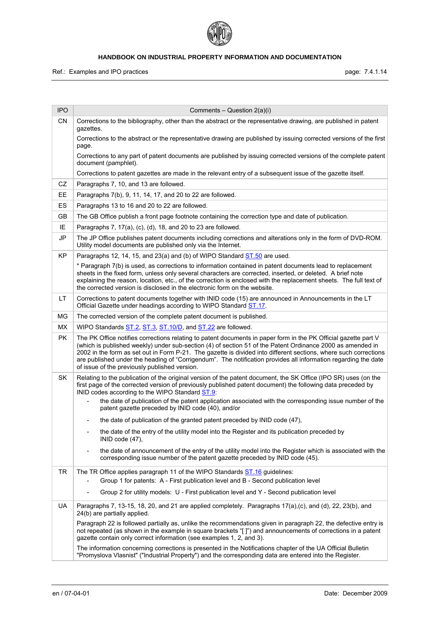

| <b>IPO</b> | Comments – Question $2(a)(i)$                                                                                                                                                                                                                                                                                                                                                                                                                                                                                        |
|------------|----------------------------------------------------------------------------------------------------------------------------------------------------------------------------------------------------------------------------------------------------------------------------------------------------------------------------------------------------------------------------------------------------------------------------------------------------------------------------------------------------------------------|
| <b>CN</b>  | Corrections to the bibliography, other than the abstract or the representative drawing, are published in patent<br>gazettes.                                                                                                                                                                                                                                                                                                                                                                                         |
|            | Corrections to the abstract or the representative drawing are published by issuing corrected versions of the first<br>page.                                                                                                                                                                                                                                                                                                                                                                                          |
|            | Corrections to any part of patent documents are published by issuing corrected versions of the complete patent<br>document (pamphlet).                                                                                                                                                                                                                                                                                                                                                                               |
|            | Corrections to patent gazettes are made in the relevant entry of a subsequent issue of the gazette itself.                                                                                                                                                                                                                                                                                                                                                                                                           |
| CZ         | Paragraphs 7, 10, and 13 are followed.                                                                                                                                                                                                                                                                                                                                                                                                                                                                               |
| EE.        | Paragraphs 7(b), 9, 11, 14, 17, and 20 to 22 are followed.                                                                                                                                                                                                                                                                                                                                                                                                                                                           |
| <b>ES</b>  | Paragraphs 13 to 16 and 20 to 22 are followed.                                                                                                                                                                                                                                                                                                                                                                                                                                                                       |
| GВ         | The GB Office publish a front page footnote containing the correction type and date of publication.                                                                                                                                                                                                                                                                                                                                                                                                                  |
| IE         | Paragraphs 7, 17(a), (c), (d), 18, and 20 to 23 are followed.                                                                                                                                                                                                                                                                                                                                                                                                                                                        |
| JP         | The JP Office publishes patent documents including corrections and alterations only in the form of DVD-ROM.<br>Utility model documents are published only via the Internet.                                                                                                                                                                                                                                                                                                                                          |
| KP         | Paragraphs 12, 14, 15, and 23(a) and (b) of WIPO Standard ST.50 are used.                                                                                                                                                                                                                                                                                                                                                                                                                                            |
|            | * Paragraph 7(b) is used, as corrections to information contained in patent documents lead to replacement<br>sheets in the fixed form, unless only several characters are corrected, inserted, or deleted. A brief note<br>explaining the reason, location, etc., of the correction is enclosed with the replacement sheets. The full text of<br>the corrected version is disclosed in the electronic form on the website.                                                                                           |
| LT.        | Corrections to patent documents together with INID code (15) are announced in Announcements in the LT<br>Official Gazette under headings according to WIPO Standard ST.17.                                                                                                                                                                                                                                                                                                                                           |
| MG         | The corrected version of the complete patent document is published.                                                                                                                                                                                                                                                                                                                                                                                                                                                  |
| <b>MX</b>  | WIPO Standards ST.2, ST.3, ST.10/D, and ST.22 are followed.                                                                                                                                                                                                                                                                                                                                                                                                                                                          |
| PK.        | The PK Office notifies corrections relating to patent documents in paper form in the PK Official gazette part V<br>(which is published weekly) under sub-section (4) of section 51 of the Patent Ordinance 2000 as amended in<br>2002 in the form as set out in Form P-21. The gazette is divided into different sections, where such corrections<br>are published under the heading of "Corrigendum". The notification provides all information regarding the date<br>of issue of the previously published version. |
| SK         | Relating to the publication of the original version of the patent document, the SK Office (IPO SR) uses (on the<br>first page of the corrected version of previously published patent document) the following data preceded by<br>INID codes according to the WIPO Standard ST.9:                                                                                                                                                                                                                                    |
|            | the date of publication of the patent application associated with the corresponding issue number of the<br>patent gazette preceded by INID code (40), and/or                                                                                                                                                                                                                                                                                                                                                         |
|            | the date of publication of the granted patent preceded by INID code (47),                                                                                                                                                                                                                                                                                                                                                                                                                                            |
|            | the date of the entry of the utility model into the Register and its publication preceded by<br>INID code (47),                                                                                                                                                                                                                                                                                                                                                                                                      |
|            | the date of announcement of the entry of the utility model into the Register which is associated with the<br>corresponding issue number of the patent gazette preceded by INID code (45).                                                                                                                                                                                                                                                                                                                            |
| <b>TR</b>  | The TR Office applies paragraph 11 of the WIPO Standards ST.16 guidelines:<br>Group 1 for patents: A - First publication level and B - Second publication level                                                                                                                                                                                                                                                                                                                                                      |
|            | Group 2 for utility models: U - First publication level and Y - Second publication level<br>$\qquad \qquad \blacksquare$                                                                                                                                                                                                                                                                                                                                                                                             |
| UA         | Paragraphs 7, 13-15, 18, 20, and 21 are applied completely. Paragraphs 17(a),(c), and (d), 22, 23(b), and<br>24(b) are partially applied.                                                                                                                                                                                                                                                                                                                                                                            |
|            | Paragraph 22 is followed partially as, unlike the recommendations given in paragraph 22, the defective entry is<br>not repeated (as shown in the example in square brackets "[]") and announcements of corrections in a patent<br>gazette contain only correct information (see examples 1, 2, and 3).                                                                                                                                                                                                               |
|            | The information concerning corrections is presented in the Notifications chapter of the UA Official Bulletin<br>"Promyslova Vlasnist" ("Industrial Property") and the corresponding data are entered into the Register.                                                                                                                                                                                                                                                                                              |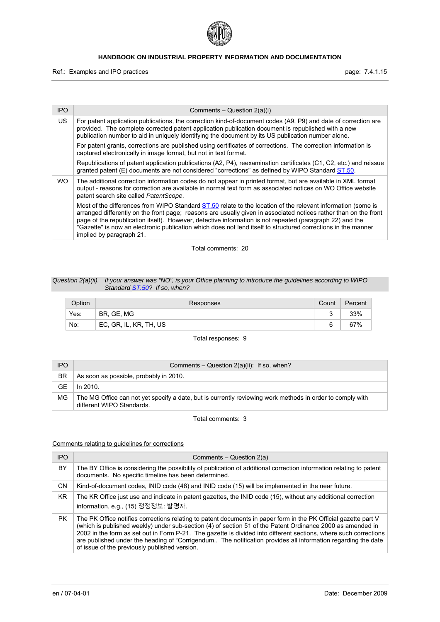

Ref.: Examples and IPO practices **page: 7.4.1.15** page: 7.4.1.15

| <b>IPO</b> | Comments – Question $2(a)(i)$                                                                                                                                                                                                                                                                                                                                                                                                                                                             |
|------------|-------------------------------------------------------------------------------------------------------------------------------------------------------------------------------------------------------------------------------------------------------------------------------------------------------------------------------------------------------------------------------------------------------------------------------------------------------------------------------------------|
| US.        | For patent application publications, the correction kind-of-document codes (A9, P9) and date of correction are<br>provided. The complete corrected patent application publication document is republished with a new<br>publication number to aid in uniquely identifying the document by its US publication number alone.                                                                                                                                                                |
|            | For patent grants, corrections are published using certificates of corrections. The correction information is<br>captured electronically in image format, but not in text format.                                                                                                                                                                                                                                                                                                         |
|            | Republications of patent application publications (A2, P4), reexamination certificates (C1, C2, etc.) and reissue<br>granted patent (E) documents are not considered "corrections" as defined by WIPO Standard ST.50.                                                                                                                                                                                                                                                                     |
| WO.        | The additional correction information codes do not appear in printed format, but are available in XML format<br>output - reasons for correction are available in normal text form as associated notices on WO Office website<br>patent search site called PatentScope.                                                                                                                                                                                                                    |
|            | Most of the differences from WIPO Standard ST.50 relate to the location of the relevant information (some is<br>arranged differently on the front page; reasons are usually given in associated notices rather than on the front<br>page of the republication itself). However, defective information is not repeated (paragraph 22) and the<br>"Gazette" is now an electronic publication which does not lend itself to structured corrections in the manner<br>implied by paragraph 21. |

Total comments: 20

### *Question 2(a)(ii). If your answer was "NO", is your Office planning to introduce the guidelines according to WIPO Standard ST.50? If so, when?*

| Option | Responses              | Count | Percent |
|--------|------------------------|-------|---------|
| Yes:   | BR, GE, MG             |       | 33%     |
| No:    | EC, GR, IL, KR, TH, US | R     | 67%     |

Total responses: 9

| <b>IPO</b> | Comments – Question $2(a)(ii)$ : If so, when?                                                                                          |
|------------|----------------------------------------------------------------------------------------------------------------------------------------|
| <b>BR</b>  | As soon as possible, probably in 2010.                                                                                                 |
| GE         | In 2010.                                                                                                                               |
| MG         | The MG Office can not yet specify a date, but is currently reviewing work methods in order to comply with<br>different WIPO Standards. |

Total comments: 3

### Comments relating to guidelines for corrections

| <b>IPO</b> | Comments – Question 2(a)                                                                                                                                                                                                                                                                                                                                                                                                                                                                                           |
|------------|--------------------------------------------------------------------------------------------------------------------------------------------------------------------------------------------------------------------------------------------------------------------------------------------------------------------------------------------------------------------------------------------------------------------------------------------------------------------------------------------------------------------|
| BY         | The BY Office is considering the possibility of publication of additional correction information relating to patent<br>documents. No specific timeline has been determined.                                                                                                                                                                                                                                                                                                                                        |
| CΝ         | Kind-of-document codes, INID code (48) and INID code (15) will be implemented in the near future.                                                                                                                                                                                                                                                                                                                                                                                                                  |
| KR.        | The KR Office just use and indicate in patent gazettes, the INID code (15), without any additional correction<br>information, e.g., (15) 정정정보: 발명자.                                                                                                                                                                                                                                                                                                                                                                |
| <b>PK</b>  | The PK Office notifies corrections relating to patent documents in paper form in the PK Official gazette part V<br>(which is published weekly) under sub-section (4) of section 51 of the Patent Ordinance 2000 as amended in<br>2002 in the form as set out in Form P-21. The gazette is divided into different sections, where such corrections<br>are published under the heading of "Corrigendum The notification provides all information regarding the date<br>of issue of the previously published version. |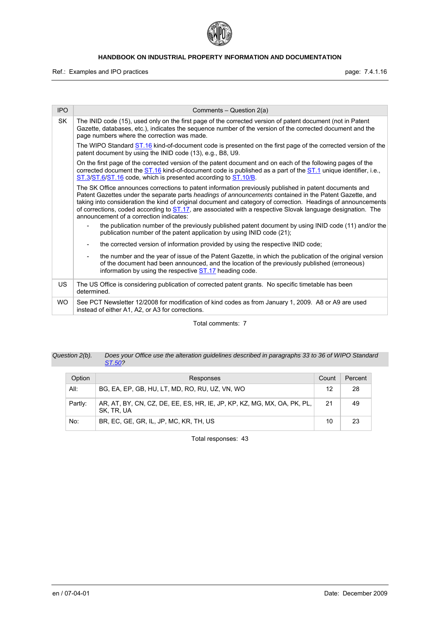

Ref.: Examples and IPO practices **page: 7.4.1.16** page: 7.4.1.16

| <b>IPO</b> | Comments - Question 2(a)                                                                                                                                                                                                                                                                                                                                                                                                                                                                     |
|------------|----------------------------------------------------------------------------------------------------------------------------------------------------------------------------------------------------------------------------------------------------------------------------------------------------------------------------------------------------------------------------------------------------------------------------------------------------------------------------------------------|
| <b>SK</b>  | The INID code (15), used only on the first page of the corrected version of patent document (not in Patent<br>Gazette, databases, etc.), indicates the sequence number of the version of the corrected document and the<br>page numbers where the correction was made.                                                                                                                                                                                                                       |
|            | The WIPO Standard ST.16 kind-of-document code is presented on the first page of the corrected version of the<br>patent document by using the INID code (13), e.g., B8, U9.                                                                                                                                                                                                                                                                                                                   |
|            | On the first page of the corrected version of the patent document and on each of the following pages of the<br>corrected document the ST.16 kind-of-document code is published as a part of the ST.1 unique identifier, i.e.,<br>ST.3/ST.6/ST.16 code, which is presented according to ST.10/B.                                                                                                                                                                                              |
|            | The SK Office announces corrections to patent information previously published in patent documents and<br>Patent Gazettes under the separate parts headings of announcements contained in the Patent Gazette, and<br>taking into consideration the kind of original document and category of correction. Headings of announcements<br>of corrections, coded according to ST.17, are associated with a respective Slovak language designation. The<br>announcement of a correction indicates: |
|            | the publication number of the previously published patent document by using INID code (11) and/or the<br>publication number of the patent application by using INID code (21);                                                                                                                                                                                                                                                                                                               |
|            | the corrected version of information provided by using the respective INID code;                                                                                                                                                                                                                                                                                                                                                                                                             |
|            | the number and the year of issue of the Patent Gazette, in which the publication of the original version<br>of the document had been announced, and the location of the previously published (erroneous)<br>information by using the respective <b>ST.17</b> heading code.                                                                                                                                                                                                                   |
| US.        | The US Office is considering publication of corrected patent grants. No specific timetable has been<br>determined.                                                                                                                                                                                                                                                                                                                                                                           |
| <b>WO</b>  | See PCT Newsletter 12/2008 for modification of kind codes as from January 1, 2009. A8 or A9 are used<br>instead of either A1, A2, or A3 for corrections.                                                                                                                                                                                                                                                                                                                                     |

Total comments: 7

### *Question 2(b). Does your Office use the alteration guidelines described in paragraphs 33 to 36 of WIPO Standard ST.50?*

| Option  | Responses                                                                             | Count | Percent |
|---------|---------------------------------------------------------------------------------------|-------|---------|
| All:    | BG, EA, EP, GB, HU, LT, MD, RO, RU, UZ, VN, WO                                        | 12    | -28     |
| Partly: | AR, AT, BY, CN, CZ, DE, EE, ES, HR, IE, JP, KP, KZ, MG, MX, OA, PK, PL,<br>SK. TR. UA | 21    | 49      |
| No:     | BR, EC, GE, GR, IL, JP, MC, KR, TH, US                                                | 10    | -23     |

Total responses: 43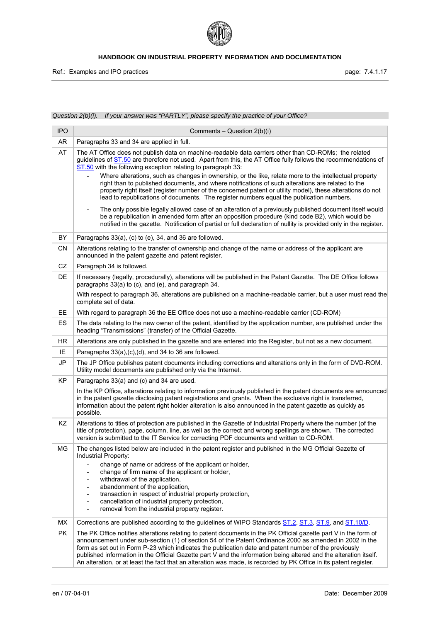

Ref.: Examples and IPO practices **page: 7.4.1.17** page: 7.4.1.17

*Question 2(b)(i). If your answer was "PARTLY", please specify the practice of your Office?* 

| <b>IPO</b> | Comments - Question 2(b)(i)                                                                                                                                                                                                                                                                                                                                                                                                                                                                                                                                                                                                                                                                                                                                                                                                  |
|------------|------------------------------------------------------------------------------------------------------------------------------------------------------------------------------------------------------------------------------------------------------------------------------------------------------------------------------------------------------------------------------------------------------------------------------------------------------------------------------------------------------------------------------------------------------------------------------------------------------------------------------------------------------------------------------------------------------------------------------------------------------------------------------------------------------------------------------|
| AR.        | Paragraphs 33 and 34 are applied in full.                                                                                                                                                                                                                                                                                                                                                                                                                                                                                                                                                                                                                                                                                                                                                                                    |
| AT         | The AT Office does not publish data on machine-readable data carriers other than CD-ROMs; the related<br>guidelines of ST.50 are therefore not used. Apart from this, the AT Office fully follows the recommendations of<br>ST.50 with the following exception relating to paragraph 33:<br>Where alterations, such as changes in ownership, or the like, relate more to the intellectual property<br>right than to published documents, and where notifications of such alterations are related to the<br>property right itself (register number of the concerned patent or utility model), these alterations do not<br>lead to republications of documents. The register numbers equal the publication numbers.<br>The only possible legally allowed case of an alteration of a previously published document itself would |
|            | be a republication in amended form after an opposition procedure (kind code B2), which would be<br>notified in the gazette. Notification of partial or full declaration of nullity is provided only in the register.                                                                                                                                                                                                                                                                                                                                                                                                                                                                                                                                                                                                         |
| BY         | Paragraphs 33(a), (c) to (e), 34, and 36 are followed.                                                                                                                                                                                                                                                                                                                                                                                                                                                                                                                                                                                                                                                                                                                                                                       |
| <b>CN</b>  | Alterations relating to the transfer of ownership and change of the name or address of the applicant are<br>announced in the patent gazette and patent register.                                                                                                                                                                                                                                                                                                                                                                                                                                                                                                                                                                                                                                                             |
| CZ         | Paragraph 34 is followed.                                                                                                                                                                                                                                                                                                                                                                                                                                                                                                                                                                                                                                                                                                                                                                                                    |
| DE         | If necessary (legally, procedurally), alterations will be published in the Patent Gazette. The DE Office follows<br>paragraphs 33(a) to (c), and (e), and paragraph 34.                                                                                                                                                                                                                                                                                                                                                                                                                                                                                                                                                                                                                                                      |
|            | With respect to paragraph 36, alterations are published on a machine-readable carrier, but a user must read the<br>complete set of data.                                                                                                                                                                                                                                                                                                                                                                                                                                                                                                                                                                                                                                                                                     |
| EE.        | With regard to paragraph 36 the EE Office does not use a machine-readable carrier (CD-ROM)                                                                                                                                                                                                                                                                                                                                                                                                                                                                                                                                                                                                                                                                                                                                   |
| ES         | The data relating to the new owner of the patent, identified by the application number, are published under the<br>heading "Transmissions" (transfer) of the Official Gazette.                                                                                                                                                                                                                                                                                                                                                                                                                                                                                                                                                                                                                                               |
| HR.        | Alterations are only published in the gazette and are entered into the Register, but not as a new document.                                                                                                                                                                                                                                                                                                                                                                                                                                                                                                                                                                                                                                                                                                                  |
| ΙE         | Paragraphs 33(a),(c),(d), and 34 to 36 are followed.                                                                                                                                                                                                                                                                                                                                                                                                                                                                                                                                                                                                                                                                                                                                                                         |
| JP         | The JP Office publishes patent documents including corrections and alterations only in the form of DVD-ROM.<br>Utility model documents are published only via the Internet.                                                                                                                                                                                                                                                                                                                                                                                                                                                                                                                                                                                                                                                  |
| KP         | Paragraphs 33(a) and (c) and 34 are used.                                                                                                                                                                                                                                                                                                                                                                                                                                                                                                                                                                                                                                                                                                                                                                                    |
|            | In the KP Office, alterations relating to information previously published in the patent documents are announced<br>in the patent gazette disclosing patent registrations and grants. When the exclusive right is transferred,<br>information about the patent right holder alteration is also announced in the patent gazette as quickly as<br>possible.                                                                                                                                                                                                                                                                                                                                                                                                                                                                    |
| KZ         | Alterations to titles of protection are published in the Gazette of Industrial Property where the number (of the<br>title of protection), page, column, line, as well as the correct and wrong spellings are shown. The corrected<br>version is submitted to the IT Service for correcting PDF documents and written to CD-ROM.                                                                                                                                                                                                                                                                                                                                                                                                                                                                                              |
| ΜG         | The changes listed below are included in the patent register and published in the MG Official Gazette of<br>Industrial Property:<br>change of name or address of the applicant or holder,<br>$\overline{\phantom{0}}$                                                                                                                                                                                                                                                                                                                                                                                                                                                                                                                                                                                                        |
|            | change of firm name of the applicant or holder,<br>$\overline{\phantom{0}}$<br>withdrawal of the application,<br>$\overline{\phantom{0}}$                                                                                                                                                                                                                                                                                                                                                                                                                                                                                                                                                                                                                                                                                    |
|            | abandonment of the application,<br>-                                                                                                                                                                                                                                                                                                                                                                                                                                                                                                                                                                                                                                                                                                                                                                                         |
|            | transaction in respect of industrial property protection,<br>-<br>cancellation of industrial property protection,<br>$\overline{a}$                                                                                                                                                                                                                                                                                                                                                                                                                                                                                                                                                                                                                                                                                          |
|            | removal from the industrial property register.<br>$\overline{\phantom{0}}$                                                                                                                                                                                                                                                                                                                                                                                                                                                                                                                                                                                                                                                                                                                                                   |
| <b>MX</b>  | Corrections are published according to the guidelines of WIPO Standards ST.2, ST.3, ST.9, and ST.10/D.                                                                                                                                                                                                                                                                                                                                                                                                                                                                                                                                                                                                                                                                                                                       |
| <b>PK</b>  | The PK Office notifies alterations relating to patent documents in the PK Official gazette part V in the form of<br>announcement under sub-section (1) of section 54 of the Patent Ordinance 2000 as amended in 2002 in the<br>form as set out in Form P-23 which indicates the publication date and patent number of the previously<br>published information in the Official Gazette part V and the information being altered and the alteration itself.<br>An alteration, or at least the fact that an alteration was made, is recorded by PK Office in its patent register.                                                                                                                                                                                                                                               |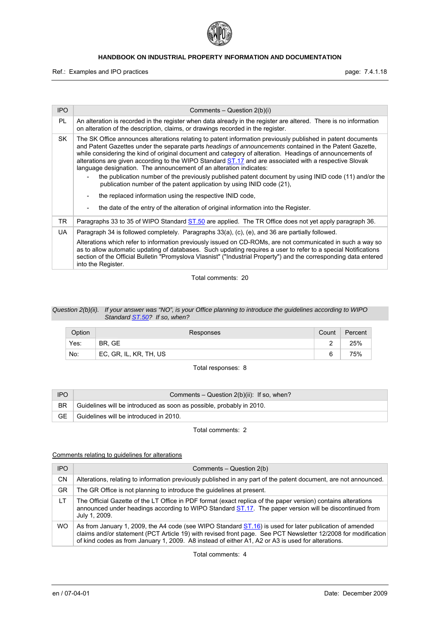

Ref.: Examples and IPO practices **page: 7.4.1.18** page: 7.4.1.18

| <b>IPO</b> | Comments – Question $2(b)(i)$                                                                                                                                                                                                                                                                                                                                                                                                                                                                                                                                                                                                                                                                                                                                                                                                                          |
|------------|--------------------------------------------------------------------------------------------------------------------------------------------------------------------------------------------------------------------------------------------------------------------------------------------------------------------------------------------------------------------------------------------------------------------------------------------------------------------------------------------------------------------------------------------------------------------------------------------------------------------------------------------------------------------------------------------------------------------------------------------------------------------------------------------------------------------------------------------------------|
| PL         | An alteration is recorded in the register when data already in the register are altered. There is no information<br>on alteration of the description, claims, or drawings recorded in the register.                                                                                                                                                                                                                                                                                                                                                                                                                                                                                                                                                                                                                                                    |
| SK.        | The SK Office announces alterations relating to patent information previously published in patent documents<br>and Patent Gazettes under the separate parts headings of announcements contained in the Patent Gazette.<br>while considering the kind of original document and category of alteration. Headings of announcements of<br>alterations are given according to the WIPO Standard ST.17 and are associated with a respective Slovak<br>language designation. The announcement of an alteration indicates:<br>the publication number of the previously published patent document by using INID code (11) and/or the<br>publication number of the patent application by using INID code (21),<br>the replaced information using the respective INID code,<br>the date of the entry of the alteration of original information into the Register. |
| TR.        | Paragraphs 33 to 35 of WIPO Standard ST.50 are applied. The TR Office does not yet apply paragraph 36.                                                                                                                                                                                                                                                                                                                                                                                                                                                                                                                                                                                                                                                                                                                                                 |
| UA.        | Paragraph 34 is followed completely. Paragraphs 33(a), (c), (e), and 36 are partially followed.                                                                                                                                                                                                                                                                                                                                                                                                                                                                                                                                                                                                                                                                                                                                                        |
|            | Alterations which refer to information previously issued on CD-ROMs, are not communicated in such a way so<br>as to allow automatic updating of databases. Such updating requires a user to refer to a special Notifications<br>section of the Official Bulletin "Promyslova Vlasnist" ("Industrial Property") and the corresponding data entered<br>into the Register.                                                                                                                                                                                                                                                                                                                                                                                                                                                                                |

Total comments: 20

#### *Question 2(b)(ii). If your answer was "NO", is your Office planning to introduce the guidelines according to WIPO Standard ST.50? If so, when?*

| Option | Responses              | Count | Percent |
|--------|------------------------|-------|---------|
| Yes:   | BR, GE                 |       | 25%     |
| No:    | EC, GR, IL, KR, TH, US |       | 75%     |

Total responses: 8

| <b>IPO</b> | Comments – Question $2(b)(ii)$ : If so, when?                        |
|------------|----------------------------------------------------------------------|
| <b>BR</b>  | Guidelines will be introduced as soon as possible, probably in 2010. |
| GЕ         | Guidelines will be introduced in 2010.                               |

Total comments: 2

# Comments relating to guidelines for alterations

| <b>IPO</b> | Comments – Question 2(b)                                                                                                                                                                                                                                                                                                      |
|------------|-------------------------------------------------------------------------------------------------------------------------------------------------------------------------------------------------------------------------------------------------------------------------------------------------------------------------------|
| CΝ         | Alterations, relating to information previously published in any part of the patent document, are not announced.                                                                                                                                                                                                              |
| GR         | The GR Office is not planning to introduce the quidelines at present.                                                                                                                                                                                                                                                         |
| LT.        | The Official Gazette of the LT Office in PDF format (exact replica of the paper version) contains alterations<br>announced under headings according to WIPO Standard ST.17. The paper version will be discontinued from<br>July 1, 2009.                                                                                      |
| WO.        | As from January 1, 2009, the A4 code (see WIPO Standard ST.16) is used for later publication of amended<br>claims and/or statement (PCT Article 19) with revised front page. See PCT Newsletter 12/2008 for modification<br>of kind codes as from January 1, 2009. A8 instead of either A1, A2 or A3 is used for alterations. |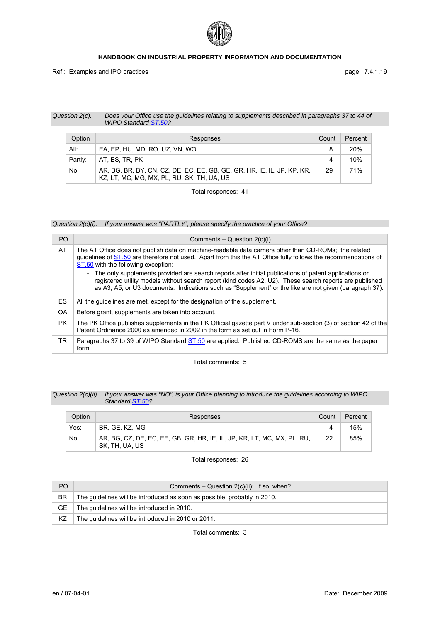

#### *Question 2(c). Does your Office use the guidelines relating to supplements described in paragraphs 37 to 44 of WIPO Standard ST.50?*

| Option  | Responses                                                                                                             | Count | Percent    |
|---------|-----------------------------------------------------------------------------------------------------------------------|-------|------------|
| All:    | EA. EP. HU. MD. RO. UZ. VN. WO                                                                                        | 8     | <b>20%</b> |
| Partly: | AT. ES. TR. PK                                                                                                        | 4     | 10%        |
| No:     | AR, BG, BR, BY, CN, CZ, DE, EC, EE, GB, GE, GR, HR, IE, IL, JP, KP, KR,<br>KZ, LT, MC, MG, MX, PL, RU, SK, TH, UA, US | 29    | 71%        |

Total responses: 41

*Question 2(c)(i). If your answer was "PARTLY", please specify the practice of your Office?* 

| <b>IPO</b> | Comments – Question $2(c)(i)$                                                                                                                                                                                                                                                                                                |
|------------|------------------------------------------------------------------------------------------------------------------------------------------------------------------------------------------------------------------------------------------------------------------------------------------------------------------------------|
| AT         | The AT Office does not publish data on machine-readable data carriers other than CD-ROMs; the related<br>quidelines of ST.50 are therefore not used. Apart from this the AT Office fully follows the recommendations of<br>ST.50 with the following exception:                                                               |
|            | - The only supplements provided are search reports after initial publications of patent applications or<br>registered utility models without search report (kind codes A2, U2). These search reports are published<br>as A3, A5, or U3 documents. Indications such as "Supplement" or the like are not given (paragraph 37). |
| <b>ES</b>  | All the quidelines are met, except for the designation of the supplement.                                                                                                                                                                                                                                                    |
| <b>OA</b>  | Before grant, supplements are taken into account.                                                                                                                                                                                                                                                                            |
| <b>PK</b>  | The PK Office publishes supplements in the PK Official gazette part V under sub-section (3) of section 42 of the<br>Patent Ordinance 2000 as amended in 2002 in the form as set out in Form P-16.                                                                                                                            |
| TR.        | Paragraphs 37 to 39 of WIPO Standard ST.50 are applied. Published CD-ROMS are the same as the paper<br>form.                                                                                                                                                                                                                 |

Total comments: 5

#### *Question 2(c)(ii). If your answer was "NO", is your Office planning to introduce the guidelines according to WIPO Standard ST.50?*

| Option | Responses                                                                                 | Count | Percent |
|--------|-------------------------------------------------------------------------------------------|-------|---------|
| Yes:   | BR. GE. KZ. MG                                                                            |       | 15%     |
| No:    | AR, BG, CZ, DE, EC, EE, GB, GR, HR, IE, IL, JP, KR, LT, MC, MX, PL, RU,<br>SK, TH, UA, US | 22    | 85%     |

Total responses: 26

| <b>IPO</b> | Comments – Question $2(c)(ii)$ : If so, when?                            |
|------------|--------------------------------------------------------------------------|
| <b>BR</b>  | The quidelines will be introduced as soon as possible, probably in 2010. |
| GЕ         | The guidelines will be introduced in 2010.                               |
| KZ         | The quidelines will be introduced in 2010 or 2011.                       |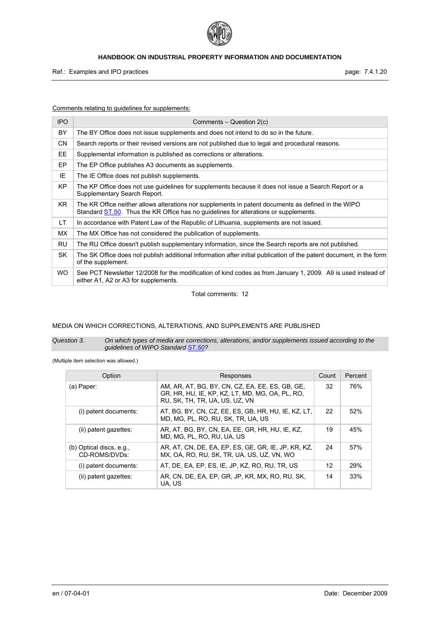

Ref.: Examples and IPO practices **page: 7.4.1.20** page: 7.4.1.20

Comments relating to guidelines for supplements:

| <b>IPO</b> | Comments $-$ Question $2(c)$                                                                                                                                                                |
|------------|---------------------------------------------------------------------------------------------------------------------------------------------------------------------------------------------|
| BY         | The BY Office does not issue supplements and does not intend to do so in the future.                                                                                                        |
| <b>CN</b>  | Search reports or their revised versions are not published due to legal and procedural reasons.                                                                                             |
| <b>EE</b>  | Supplemental information is published as corrections or alterations.                                                                                                                        |
| EP         | The EP Office publishes A3 documents as supplements.                                                                                                                                        |
| ΙE         | The IE Office does not publish supplements.                                                                                                                                                 |
| <b>KP</b>  | The KP Office does not use guidelines for supplements because it does not issue a Search Report or a<br>Supplementary Search Report.                                                        |
| KR.        | The KR Office neither allows alterations nor supplements in patent documents as defined in the WIPO<br>Standard ST.50. Thus the KR Office has no guidelines for alterations or supplements. |
| LT.        | In accordance with Patent Law of the Republic of Lithuania, supplements are not issued.                                                                                                     |
| МX         | The MX Office has not considered the publication of supplements.                                                                                                                            |
| RU         | The RU Office doesn't publish supplementary information, since the Search reports are not published.                                                                                        |
| <b>SK</b>  | The SK Office does not publish additional information after initial publication of the patent document, in the form<br>of the supplement.                                                   |
| <b>WO</b>  | See PCT Newsletter 12/2008 for the modification of kind codes as from January 1, 2009. A9 is used instead of<br>either A1, A2 or A3 for supplements.                                        |

Total comments: 12

# MEDIA ON WHICH CORRECTIONS, ALTERATIONS, AND SUPPLEMENTS ARE PUBLISHED

#### *Question 3. On which types of media are corrections, alterations, and/or supplements issued according to the guidelines of WIPO Standard ST.50?*

(Multiple item selection was allowed.)

| Option                                      | Responses                                                                                                                            | Count | Percent |
|---------------------------------------------|--------------------------------------------------------------------------------------------------------------------------------------|-------|---------|
| (a) Paper:                                  | AM, AR, AT, BG, BY, CN, CZ, EA, EE, ES, GB, GE,<br>GR, HR, HU, IE, KP, KZ, LT, MD, MG, OA, PL, RO,<br>RU. SK. TH. TR. UA. US. UZ. VN | 32    | 76%     |
| (i) patent documents:                       | AT, BG, BY, CN, CZ, EE, ES, GB, HR, HU, IE, KZ, LT,<br>MD. MG. PL. RO. RU. SK. TR. UA. US                                            | 22    | 52%     |
| (ii) patent gazettes:                       | AR, AT, BG, BY, CN, EA, EE, GR, HR, HU, IE, KZ,<br>MD. MG. PL. RO. RU. UA. US                                                        | 19    | 45%     |
| (b) Optical discs, $e.g.,$<br>CD-ROMS/DVDs: | AR, AT, CN, DE, EA, EP, ES, GE, GR, IE, JP, KR, KZ,<br>MX. OA. RO. RU. SK. TR. UA. US. UZ. VN. WO                                    | 24    | 57%     |
| (i) patent documents:                       | AT, DE, EA, EP, ES, IE, JP, KZ, RO, RU, TR, US                                                                                       | 12    | 29%     |
| (ii) patent gazettes:                       | AR, CN, DE, EA, EP, GR, JP, KR, MX, RO, RU, SK,<br>UA, US                                                                            | 14    | 33%     |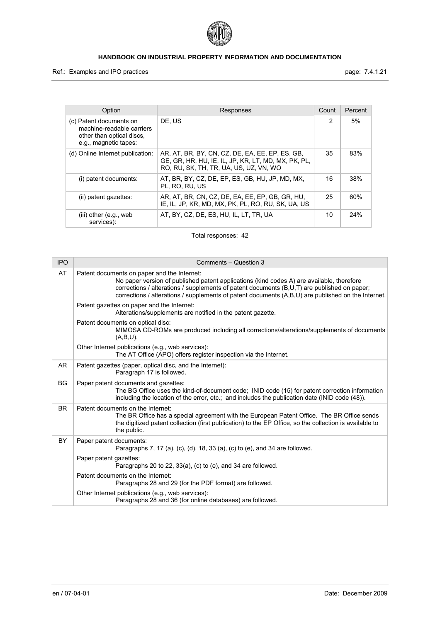

Ref.: Examples and IPO practices **page: 7.4.1.21** page: 7.4.1.21

| Option                                                                                                     | Responses                                                                                                                                        | Count          | Percent |
|------------------------------------------------------------------------------------------------------------|--------------------------------------------------------------------------------------------------------------------------------------------------|----------------|---------|
| (c) Patent documents on<br>machine-readable carriers<br>other than optical discs,<br>e.g., magnetic tapes: | DE. US                                                                                                                                           | $\mathfrak{p}$ | 5%      |
| (d) Online Internet publication:                                                                           | AR, AT, BR, BY, CN, CZ, DE, EA, EE, EP, ES, GB,<br>GE, GR, HR, HU, IE, IL, JP, KR, LT, MD, MX, PK, PL,<br>RO. RU. SK. TH. TR. UA. US. UZ. VN. WO | 35             | 83%     |
| (i) patent documents:                                                                                      | AT, BR, BY, CZ, DE, EP, ES, GB, HU, JP, MD, MX,<br>PL. RO. RU. US                                                                                | 16             | 38%     |
| (ii) patent gazettes:                                                                                      | AR, AT, BR, CN, CZ, DE, EA, EE, EP, GB, GR, HU,<br>IE. IL. JP. KR. MD. MX. PK. PL. RO. RU. SK. UA. US                                            | 25             | 60%     |
| $(iii)$ other $(e.g., web)$<br>services):                                                                  | AT, BY, CZ, DE, ES, HU, IL, LT, TR, UA                                                                                                           | 10             | 24%     |

Total responses: 42

| <b>IPO</b> | Comments - Question 3                                                                                                                                                                                                                                                                                                                             |
|------------|---------------------------------------------------------------------------------------------------------------------------------------------------------------------------------------------------------------------------------------------------------------------------------------------------------------------------------------------------|
| AT         | Patent documents on paper and the Internet:<br>No paper version of published patent applications (kind codes A) are available, therefore<br>corrections / alterations / supplements of patent documents $(B, U, T)$ are published on paper;<br>corrections / alterations / supplements of patent documents (A,B,U) are published on the Internet. |
|            | Patent gazettes on paper and the Internet:<br>Alterations/supplements are notified in the patent gazette.                                                                                                                                                                                                                                         |
|            | Patent documents on optical disc:<br>MIMOSA CD-ROMs are produced including all corrections/alterations/supplements of documents<br>$(A,B,U)$ .                                                                                                                                                                                                    |
|            | Other Internet publications (e.g., web services):<br>The AT Office (APO) offers register inspection via the Internet.                                                                                                                                                                                                                             |
| <b>AR</b>  | Patent gazettes (paper, optical disc, and the Internet):<br>Paragraph 17 is followed.                                                                                                                                                                                                                                                             |
| <b>BG</b>  | Paper patent documents and gazettes:<br>The BG Office uses the kind-of-document code; INID code (15) for patent correction information<br>including the location of the error, etc.; and includes the publication date (INID code (48)).                                                                                                          |
| <b>BR</b>  | Patent documents on the Internet:<br>The BR Office has a special agreement with the European Patent Office. The BR Office sends<br>the digitized patent collection (first publication) to the EP Office, so the collection is available to<br>the public.                                                                                         |
| <b>BY</b>  | Paper patent documents:<br>Paragraphs 7, 17 (a), (c), (d), 18, 33 (a), (c) to (e), and 34 are followed.                                                                                                                                                                                                                                           |
|            | Paper patent gazettes:<br>Paragraphs 20 to 22, 33(a), (c) to (e), and 34 are followed.                                                                                                                                                                                                                                                            |
|            | Patent documents on the Internet:<br>Paragraphs 28 and 29 (for the PDF format) are followed.                                                                                                                                                                                                                                                      |
|            | Other Internet publications (e.g., web services):<br>Paragraphs 28 and 36 (for online databases) are followed.                                                                                                                                                                                                                                    |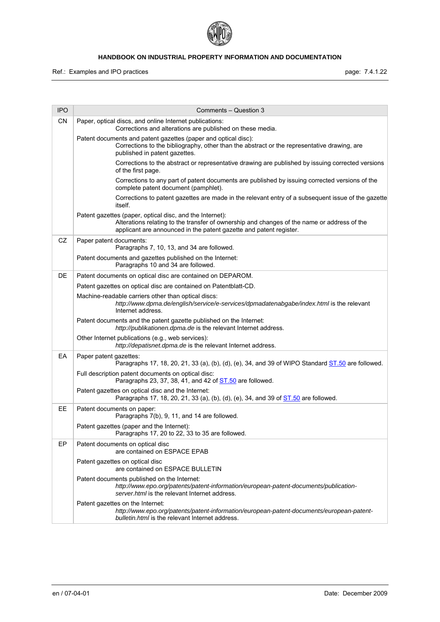

| <b>IPO</b> | Comments - Question 3                                                                                                                                                                                                         |
|------------|-------------------------------------------------------------------------------------------------------------------------------------------------------------------------------------------------------------------------------|
| CN         | Paper, optical discs, and online Internet publications:<br>Corrections and alterations are published on these media.                                                                                                          |
|            | Patent documents and patent gazettes (paper and optical disc):<br>Corrections to the bibliography, other than the abstract or the representative drawing, are<br>published in patent gazettes.                                |
|            | Corrections to the abstract or representative drawing are published by issuing corrected versions<br>of the first page.                                                                                                       |
|            | Corrections to any part of patent documents are published by issuing corrected versions of the<br>complete patent document (pamphlet).                                                                                        |
|            | Corrections to patent gazettes are made in the relevant entry of a subsequent issue of the gazette<br>itself.                                                                                                                 |
|            | Patent gazettes (paper, optical disc, and the Internet):<br>Alterations relating to the transfer of ownership and changes of the name or address of the<br>applicant are announced in the patent gazette and patent register. |
| CZ         | Paper patent documents:<br>Paragraphs 7, 10, 13, and 34 are followed.                                                                                                                                                         |
|            | Patent documents and gazettes published on the Internet:<br>Paragraphs 10 and 34 are followed.                                                                                                                                |
| DE         | Patent documents on optical disc are contained on DEPAROM.                                                                                                                                                                    |
|            | Patent gazettes on optical disc are contained on Patentblatt-CD.                                                                                                                                                              |
|            | Machine-readable carriers other than optical discs:<br>http://www.dpma.de/english/service/e-services/dpmadatenabgabe/index.html is the relevant<br>Internet address.                                                          |
|            | Patent documents and the patent gazette published on the Internet:<br>http://publikationen.dpma.de is the relevant Internet address.                                                                                          |
|            | Other Internet publications (e.g., web services):<br>http://depatisnet.dpma.de is the relevant Internet address.                                                                                                              |
| EA         | Paper patent gazettes:<br>Paragraphs 17, 18, 20, 21, 33 (a), (b), (d), (e), 34, and 39 of WIPO Standard $ST.50$ are followed.                                                                                                 |
|            | Full description patent documents on optical disc:<br>Paragraphs 23, 37, 38, 41, and 42 of ST.50 are followed.                                                                                                                |
|            | Patent gazettes on optical disc and the Internet:<br>Paragraphs 17, 18, 20, 21, 33 (a), (b), (d), (e), 34, and 39 of <b>ST.50</b> are followed.                                                                               |
| EE         | Patent documents on paper:<br>Paragraphs 7(b), 9, 11, and 14 are followed.                                                                                                                                                    |
|            | Patent gazettes (paper and the Internet):<br>Paragraphs 17, 20 to 22, 33 to 35 are followed                                                                                                                                   |
| EP         | Patent documents on optical disc<br>are contained on ESPACE EPAB                                                                                                                                                              |
|            | Patent gazettes on optical disc<br>are contained on ESPACE BULLETIN                                                                                                                                                           |
|            | Patent documents published on the Internet:<br>http://www.epo.org/patents/patent-information/european-patent-documents/publication-<br>server.html is the relevant Internet address.                                          |
|            | Patent gazettes on the Internet:<br>http://www.epo.org/patents/patent-information/european-patent-documents/european-patent-<br>bulletin.html is the relevant Internet address.                                               |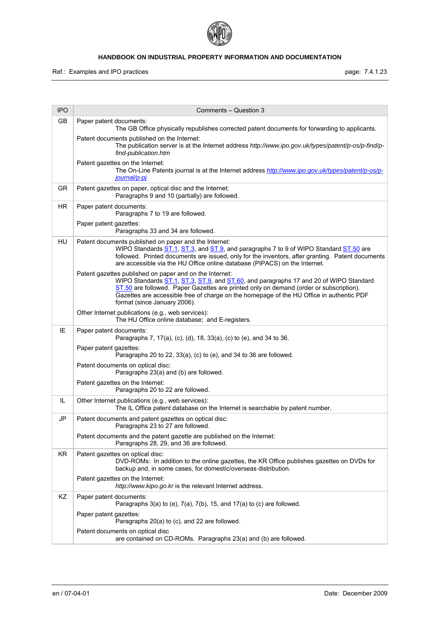

| <b>IPO</b> | Comments - Question 3                                                                                                                                                                                                                                                                                                                                                  |
|------------|------------------------------------------------------------------------------------------------------------------------------------------------------------------------------------------------------------------------------------------------------------------------------------------------------------------------------------------------------------------------|
| GB         | Paper patent documents:<br>The GB Office physically republishes corrected patent documents for forwarding to applicants.                                                                                                                                                                                                                                               |
|            | Patent documents published on the Internet:<br>The publication server is at the Internet address http://www.ipo.gov.uk/types/patent/p-os/p-find/p-<br>find-publication.htm                                                                                                                                                                                             |
|            | Patent gazettes on the Internet:<br>The On-Line Patents journal is at the Internet address http://www.ipo.gov.uk/types/patent/p-os/p-<br>journal/p-pi                                                                                                                                                                                                                  |
| <b>GR</b>  | Patent gazettes on paper, optical disc and the Internet:<br>Paragraphs 9 and 10 (partially) are followed.                                                                                                                                                                                                                                                              |
| <b>HR</b>  | Paper patent documents:<br>Paragraphs 7 to 19 are followed.                                                                                                                                                                                                                                                                                                            |
|            | Paper patent gazettes:<br>Paragraphs 33 and 34 are followed.                                                                                                                                                                                                                                                                                                           |
| HU         | Patent documents published on paper and the Internet:<br>WIPO Standards ST.1, ST.3, and ST.9, and paragraphs 7 to 9 of WIPO Standard ST.50 are<br>followed. Printed documents are issued, only for the inventors, after granting. Patent documents<br>are accessible via the HU Office online database (PIPACS) on the Internet.                                       |
|            | Patent gazettes published on paper and on the Internet:<br>WIPO Standards ST.1, ST.3, ST.9, and ST.60, and paragraphs 17 and 20 of WIPO Standard<br>ST.50 are followed. Paper Gazettes are printed only on demand (order or subscription).<br>Gazettes are accessible free of charge on the homepage of the HU Office in authentic PDF<br>format (since January 2006). |
|            | Other Internet publications (e.g., web services):<br>The HU Office online database; and E-registers.                                                                                                                                                                                                                                                                   |
| IE         | Paper patent documents:<br>Paragraphs 7, 17(a), (c), (d), 18, 33(a), (c) to (e), and 34 to 36.                                                                                                                                                                                                                                                                         |
|            | Paper patent gazettes:<br>Paragraphs 20 to 22, 33(a), (c) to (e), and 34 to 36 are followed.                                                                                                                                                                                                                                                                           |
|            | Patent documents on optical disc:<br>Paragraphs 23(a) and (b) are followed.                                                                                                                                                                                                                                                                                            |
|            | Patent gazettes on the Internet:<br>Paragraphs 20 to 22 are followed.                                                                                                                                                                                                                                                                                                  |
| IL.        | Other Internet publications (e.g., web services):<br>The IL Office patent database on the Internet is searchable by patent number.                                                                                                                                                                                                                                     |
| JP         | Patent documents and patent gazettes on optical disc:<br>Paragraphs 23 to 27 are followed.                                                                                                                                                                                                                                                                             |
|            | Patent documents and the patent gazette are published on the Internet:<br>Paragraphs 28, 29, and 36 are followed.                                                                                                                                                                                                                                                      |
| KR.        | Patent gazettes on optical disc:<br>DVD-ROMs: In addition to the online gazettes, the KR Office publishes gazettes on DVDs for<br>backup and, in some cases, for domestic/overseas distribution.                                                                                                                                                                       |
|            | Patent gazettes on the Internet:<br>http://www.kipo.go.kr is the relevant Internet address.                                                                                                                                                                                                                                                                            |
| ΚZ         | Paper patent documents:<br>Paragraphs $3(a)$ to (e), $7(a)$ , $7(b)$ , $15$ , and $17(a)$ to (c) are followed.                                                                                                                                                                                                                                                         |
|            | Paper patent gazettes:<br>Paragraphs 20(a) to (c), and 22 are followed.                                                                                                                                                                                                                                                                                                |
|            | Patent documents on optical disc<br>are contained on CD-ROMs. Paragraphs 23(a) and (b) are followed.                                                                                                                                                                                                                                                                   |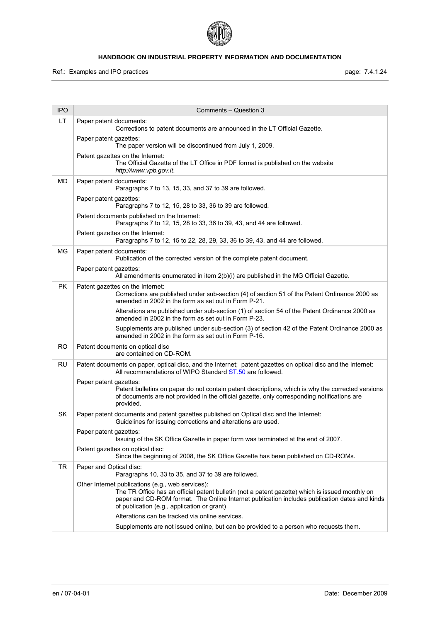

| <b>IPO</b> | Comments - Question 3                                                                                                                                                                                                                                                                                |
|------------|------------------------------------------------------------------------------------------------------------------------------------------------------------------------------------------------------------------------------------------------------------------------------------------------------|
| LT         | Paper patent documents:<br>Corrections to patent documents are announced in the LT Official Gazette.                                                                                                                                                                                                 |
|            | Paper patent gazettes:<br>The paper version will be discontinued from July 1, 2009.                                                                                                                                                                                                                  |
|            | Patent gazettes on the Internet:<br>The Official Gazette of the LT Office in PDF format is published on the website<br>http://www.vpb.gov.lt.                                                                                                                                                        |
| MD         | Paper patent documents:<br>Paragraphs 7 to 13, 15, 33, and 37 to 39 are followed.                                                                                                                                                                                                                    |
|            | Paper patent gazettes:<br>Paragraphs 7 to 12, 15, 28 to 33, 36 to 39 are followed.                                                                                                                                                                                                                   |
|            | Patent documents published on the Internet:<br>Paragraphs 7 to 12, 15, 28 to 33, 36 to 39, 43, and 44 are followed.                                                                                                                                                                                  |
|            | Patent gazettes on the Internet:<br>Paragraphs 7 to 12, 15 to 22, 28, 29, 33, 36 to 39, 43, and 44 are followed.                                                                                                                                                                                     |
| MG         | Paper patent documents:<br>Publication of the corrected version of the complete patent document.                                                                                                                                                                                                     |
|            | Paper patent gazettes:<br>All amendments enumerated in item 2(b)(i) are published in the MG Official Gazette.                                                                                                                                                                                        |
| <b>PK</b>  | Patent gazettes on the Internet:<br>Corrections are published under sub-section (4) of section 51 of the Patent Ordinance 2000 as<br>amended in 2002 in the form as set out in Form P-21.                                                                                                            |
|            | Alterations are published under sub-section (1) of section 54 of the Patent Ordinance 2000 as<br>amended in 2002 in the form as set out in Form P-23.                                                                                                                                                |
|            | Supplements are published under sub-section (3) of section 42 of the Patent Ordinance 2000 as<br>amended in 2002 in the form as set out in Form P-16.                                                                                                                                                |
| RO         | Patent documents on optical disc<br>are contained on CD-ROM.                                                                                                                                                                                                                                         |
| <b>RU</b>  | Patent documents on paper, optical disc, and the Internet; patent gazettes on optical disc and the Internet:<br>All recommendations of WIPO Standard ST.50 are followed.                                                                                                                             |
|            | Paper patent gazettes:<br>Patent bulletins on paper do not contain patent descriptions, which is why the corrected versions<br>of documents are not provided in the official gazette, only corresponding notifications are<br>provided.                                                              |
| <b>SK</b>  | Paper patent documents and patent gazettes published on Optical disc and the Internet:<br>Guidelines for issuing corrections and alterations are used.                                                                                                                                               |
|            | Paper patent gazettes:<br>Issuing of the SK Office Gazette in paper form was terminated at the end of 2007.                                                                                                                                                                                          |
|            | Patent gazettes on optical disc:<br>Since the beginning of 2008, the SK Office Gazette has been published on CD-ROMs.                                                                                                                                                                                |
| <b>TR</b>  | Paper and Optical disc:<br>Paragraphs 10, 33 to 35, and 37 to 39 are followed.                                                                                                                                                                                                                       |
|            | Other Internet publications (e.g., web services):<br>The TR Office has an official patent bulletin (not a patent gazette) which is issued monthly on<br>paper and CD-ROM format. The Online Internet publication includes publication dates and kinds<br>of publication (e.g., application or grant) |
|            | Alterations can be tracked via online services.                                                                                                                                                                                                                                                      |
|            | Supplements are not issued online, but can be provided to a person who requests them.                                                                                                                                                                                                                |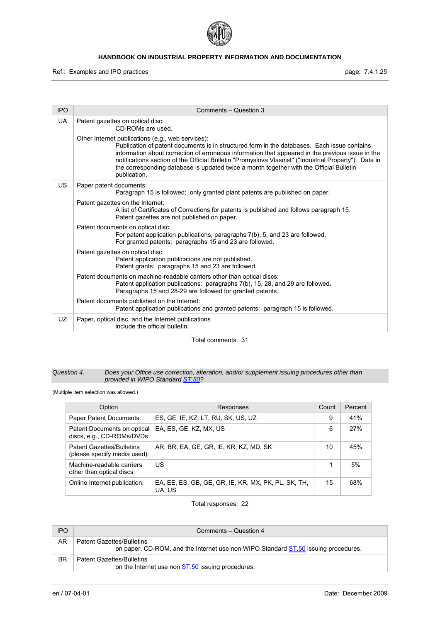

Ref.: Examples and IPO practices **page: 7.4.1.25** page: 7.4.1.25

| <b>IPO</b> | Comments - Question 3                                                                                                                                                                                                                                                                                                                                                                                                                                                    |
|------------|--------------------------------------------------------------------------------------------------------------------------------------------------------------------------------------------------------------------------------------------------------------------------------------------------------------------------------------------------------------------------------------------------------------------------------------------------------------------------|
| UA         | Patent gazettes on optical disc:<br>CD-ROMs are used.                                                                                                                                                                                                                                                                                                                                                                                                                    |
|            | Other Internet publications (e.g., web services):<br>Publication of patent documents is in structured form in the databases. Each issue contains<br>information about correction of erroneous information that appeared in the previous issue in the<br>notifications section of the Official Bulletin "Promyslova Vlasnist" ("Industrial Property"). Data in<br>the corresponding database is updated twice a month together with the Official Bulletin<br>publication. |
| <b>US</b>  | Paper patent documents:<br>Paragraph 15 is followed; only granted plant patents are published on paper.                                                                                                                                                                                                                                                                                                                                                                  |
|            | Patent gazettes on the Internet:<br>A list of Certificates of Corrections for patents is published and follows paragraph 15.<br>Patent gazettes are not published on paper.                                                                                                                                                                                                                                                                                              |
|            | Patent documents on optical disc:<br>For patent application publications, paragraphs 7(b), 5, and 23 are followed.<br>For granted patents: paragraphs 15 and 23 are followed.                                                                                                                                                                                                                                                                                            |
|            | Patent gazettes on optical disc:<br>Patent application publications are not published.<br>Patent grants: paragraphs 15 and 23 are followed.                                                                                                                                                                                                                                                                                                                              |
|            | Patent documents on machine-readable carriers other than optical discs:<br>Patent application publications: paragraphs 7(b), 15, 28, and 29 are followed.<br>Paragraphs 15 and 28-29 are followed for granted patents.                                                                                                                                                                                                                                                   |
|            | Patent documents published on the Internet:<br>Patent application publications and granted patents: paragraph 15 is followed.                                                                                                                                                                                                                                                                                                                                            |
| UZ         | Paper, optical disc, and the Internet publications<br>include the official bulletin.                                                                                                                                                                                                                                                                                                                                                                                     |

Total comments: 31

#### *Question 4. Does your Office use correction, alteration, and/or supplement issuing procedures other than provided in WIPO Standard ST.50?*

(Multiple item selection was allowed.)

| Option                                                           | Responses                                                     | Count | Percent |
|------------------------------------------------------------------|---------------------------------------------------------------|-------|---------|
| Paper Patent Documents:                                          | ES, GE, IE, KZ, LT, RU, SK, US, UZ                            | 9     | 41%     |
| Patent Documents on optical<br>discs, e.g., CD-ROMs/DVDs:        | EA, ES, GE, KZ, MX, US                                        | 6     | 27%     |
| <b>Patent Gazettes/Bulletins</b><br>(please specify media used): | AR, BR, EA, GE, GR, IE, KR, KZ, MD, SK                        | 10    | 45%     |
| Machine-readable carriers<br>other than optical discs:           | US                                                            | 1     | 5%      |
| Online Internet publication:                                     | EA, EE, ES, GB, GE, GR, IE, KR, MX, PK, PL, SK, TH,<br>UA, US | 15    | 68%     |

Total responses: 22

| <b>IPO</b> | Comments - Question 4                                                                                                  |
|------------|------------------------------------------------------------------------------------------------------------------------|
| AR         | <b>Patent Gazettes/Bulletins</b><br>on paper, CD-ROM, and the Internet use non WIPO Standard ST.50 issuing procedures. |
| <b>BR</b>  | <b>Patent Gazettes/Bulletins</b><br>on the Internet use non <b>ST.50</b> issuing procedures.                           |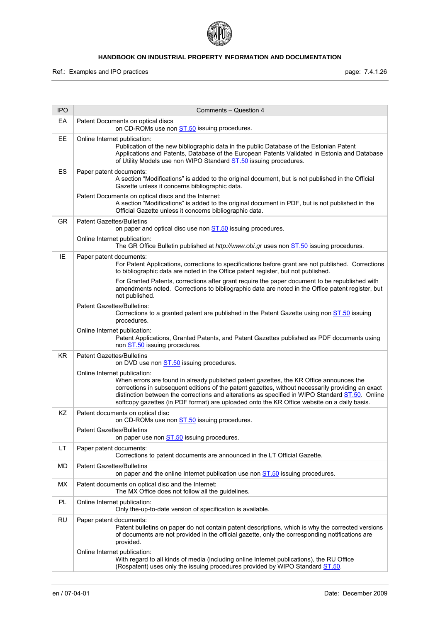

Ref.: Examples and IPO practices **page: 7.4.1.26** page: 7.4.1.26

| <b>IPO</b> | Comments - Question 4                                                                                                                                                                                                                                                                                                                                                                                                          |
|------------|--------------------------------------------------------------------------------------------------------------------------------------------------------------------------------------------------------------------------------------------------------------------------------------------------------------------------------------------------------------------------------------------------------------------------------|
| EA         | Patent Documents on optical discs<br>on CD-ROMs use non ST.50 issuing procedures.                                                                                                                                                                                                                                                                                                                                              |
| EE         | Online Internet publication:<br>Publication of the new bibliographic data in the public Database of the Estonian Patent<br>Applications and Patents, Database of the European Patents Validated in Estonia and Database<br>of Utility Models use non WIPO Standard ST.50 issuing procedures.                                                                                                                                   |
| ES         | Paper patent documents:<br>A section "Modifications" is added to the original document, but is not published in the Official<br>Gazette unless it concerns bibliographic data.                                                                                                                                                                                                                                                 |
|            | Patent Documents on optical discs and the Internet:<br>A section "Modifications" is added to the original document in PDF, but is not published in the<br>Official Gazette unless it concerns bibliographic data.                                                                                                                                                                                                              |
| GR         | <b>Patent Gazettes/Bulletins</b><br>on paper and optical disc use non <b>ST.50</b> issuing procedures.                                                                                                                                                                                                                                                                                                                         |
|            | Online Internet publication:<br>The GR Office Bulletin published at http://www.obi.gr uses non ST.50 issuing procedures.                                                                                                                                                                                                                                                                                                       |
| IE         | Paper patent documents:<br>For Patent Applications, corrections to specifications before grant are not published. Corrections<br>to bibliographic data are noted in the Office patent register, but not published.                                                                                                                                                                                                             |
|            | For Granted Patents, corrections after grant require the paper document to be republished with<br>amendments noted. Corrections to bibliographic data are noted in the Office patent register, but<br>not published.                                                                                                                                                                                                           |
|            | Patent Gazettes/Bulletins:<br>Corrections to a granted patent are published in the Patent Gazette using non ST.50 issuing<br>procedures.                                                                                                                                                                                                                                                                                       |
|            | Online Internet publication:<br>Patent Applications, Granted Patents, and Patent Gazettes published as PDF documents using<br>non ST.50 issuing procedures.                                                                                                                                                                                                                                                                    |
| <b>KR</b>  | <b>Patent Gazettes/Bulletins</b><br>on DVD use non <b>ST.50</b> issuing procedures.                                                                                                                                                                                                                                                                                                                                            |
|            | Online Internet publication:<br>When errors are found in already published patent gazettes, the KR Office announces the<br>corrections in subsequent editions of the patent gazettes, without necessarily providing an exact<br>distinction between the corrections and alterations as specified in WIPO Standard ST.50. Online<br>softcopy gazettes (in PDF format) are uploaded onto the KR Office website on a daily basis. |
| KZ         | Patent documents on optical disc<br>on CD-ROMs use non ST.50 issuing procedures.                                                                                                                                                                                                                                                                                                                                               |
|            | <b>Patent Gazettes/Bulletins</b><br>on paper use non ST.50 issuing procedures.                                                                                                                                                                                                                                                                                                                                                 |
| LT.        | Paper patent documents:<br>Corrections to patent documents are announced in the LT Official Gazette.                                                                                                                                                                                                                                                                                                                           |
| MD         | <b>Patent Gazettes/Bulletins</b><br>on paper and the online Internet publication use non <b>ST.50</b> issuing procedures.                                                                                                                                                                                                                                                                                                      |
| <b>MX</b>  | Patent documents on optical disc and the Internet:<br>The MX Office does not follow all the guidelines.                                                                                                                                                                                                                                                                                                                        |
| PL         | Online Internet publication:<br>Only the-up-to-date version of specification is available.                                                                                                                                                                                                                                                                                                                                     |
| <b>RU</b>  | Paper patent documents:<br>Patent bulletins on paper do not contain patent descriptions, which is why the corrected versions<br>of documents are not provided in the official gazette, only the corresponding notifications are<br>provided.                                                                                                                                                                                   |
|            | Online Internet publication:<br>With regard to all kinds of media (including online Internet publications), the RU Office<br>(Rospatent) uses only the issuing procedures provided by WIPO Standard ST.50.                                                                                                                                                                                                                     |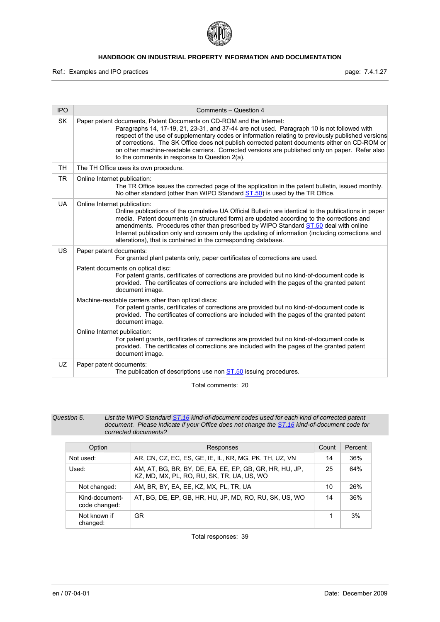

Ref.: Examples and IPO practices **page: 7.4.1.27** page: 7.4.1.27

| <b>IPO</b> | Comments - Question 4                                                                                                                                                                                                                                                                                                                                                                                                                                                                                                        |
|------------|------------------------------------------------------------------------------------------------------------------------------------------------------------------------------------------------------------------------------------------------------------------------------------------------------------------------------------------------------------------------------------------------------------------------------------------------------------------------------------------------------------------------------|
| <b>SK</b>  | Paper patent documents, Patent Documents on CD-ROM and the Internet:<br>Paragraphs 14, 17-19, 21, 23-31, and 37-44 are not used. Paragraph 10 is not followed with<br>respect of the use of supplementary codes or information relating to previously published versions<br>of corrections. The SK Office does not publish corrected patent documents either on CD-ROM or<br>on other machine-readable carriers. Corrected versions are published only on paper. Refer also<br>to the comments in response to Question 2(a). |
| <b>TH</b>  | The TH Office uses its own procedure.                                                                                                                                                                                                                                                                                                                                                                                                                                                                                        |
| <b>TR</b>  | Online Internet publication:<br>The TR Office issues the corrected page of the application in the patent bulletin, issued monthly.<br>No other standard (other than WIPO Standard ST.50) is used by the TR Office.                                                                                                                                                                                                                                                                                                           |
| <b>UA</b>  | Online Internet publication:<br>Online publications of the cumulative UA Official Bulletin are identical to the publications in paper<br>media. Patent documents (in structured form) are updated according to the corrections and<br>amendments. Procedures other than prescribed by WIPO Standard ST.50 deal with online<br>Internet publication only and concern only the updating of information (including corrections and<br>alterations), that is contained in the corresponding database.                            |
| US         | Paper patent documents:<br>For granted plant patents only, paper certificates of corrections are used.                                                                                                                                                                                                                                                                                                                                                                                                                       |
|            | Patent documents on optical disc:<br>For patent grants, certificates of corrections are provided but no kind-of-document code is<br>provided. The certificates of corrections are included with the pages of the granted patent<br>document image.                                                                                                                                                                                                                                                                           |
|            | Machine-readable carriers other than optical discs:<br>For patent grants, certificates of corrections are provided but no kind-of-document code is<br>provided. The certificates of corrections are included with the pages of the granted patent<br>document image.                                                                                                                                                                                                                                                         |
|            | Online Internet publication:<br>For patent grants, certificates of corrections are provided but no kind-of-document code is<br>provided. The certificates of corrections are included with the pages of the granted patent<br>document image.                                                                                                                                                                                                                                                                                |
| UZ         | Paper patent documents:<br>The publication of descriptions use non <b>ST.50</b> issuing procedures.                                                                                                                                                                                                                                                                                                                                                                                                                          |

Total comments: 20

| Question 5. | List the WIPO Standard ST.16 kind-of-document codes used for each kind of corrected patent   |
|-------------|----------------------------------------------------------------------------------------------|
|             | document. Please indicate if your Office does not change the ST.16 kind-of-document code for |
|             | corrected documents?                                                                         |

| Option                          | Responses                                                                                             | Count | Percent |
|---------------------------------|-------------------------------------------------------------------------------------------------------|-------|---------|
| Not used:                       | AR, CN, CZ, EC, ES, GE, IE, IL, KR, MG, PK, TH, UZ, VN                                                | 14    | 36%     |
| Used:                           | AM, AT, BG, BR, BY, DE, EA, EE, EP, GB, GR, HR, HU, JP,<br>KZ, MD, MX, PL, RO, RU, SK, TR, UA, US, WO | 25    | 64%     |
| Not changed:                    | AM, BR, BY, EA, EE, KZ, MX, PL, TR, UA                                                                | 10    | 26%     |
| Kind-document-<br>code changed: | AT, BG, DE, EP, GB, HR, HU, JP, MD, RO, RU, SK, US, WO                                                | 14    | 36%     |
| Not known if<br>changed:        | <b>GR</b>                                                                                             | 1     | 3%      |

Total responses: 39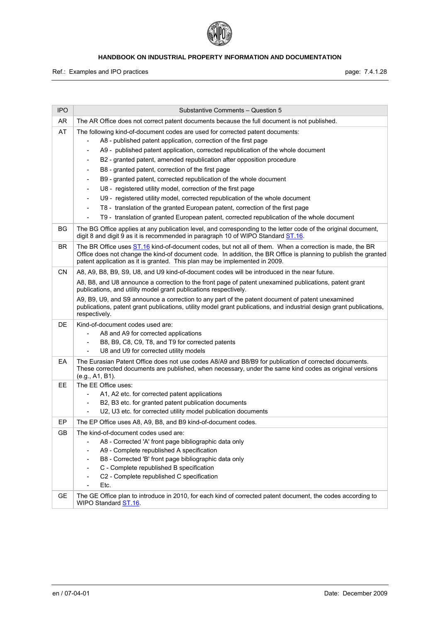

Ref.: Examples and IPO practices **page: 7.4.1.28** page: 7.4.1.28

| <b>IPO</b> | Substantive Comments - Question 5                                                                                                                                                                                                                                                                                                                                                                                                                                                                                                                                                                                                                                                                                                                                                                                                                                                                                                                                        |
|------------|--------------------------------------------------------------------------------------------------------------------------------------------------------------------------------------------------------------------------------------------------------------------------------------------------------------------------------------------------------------------------------------------------------------------------------------------------------------------------------------------------------------------------------------------------------------------------------------------------------------------------------------------------------------------------------------------------------------------------------------------------------------------------------------------------------------------------------------------------------------------------------------------------------------------------------------------------------------------------|
| AR         | The AR Office does not correct patent documents because the full document is not published.                                                                                                                                                                                                                                                                                                                                                                                                                                                                                                                                                                                                                                                                                                                                                                                                                                                                              |
| AT         | The following kind-of-document codes are used for corrected patent documents:<br>A8 - published patent application, correction of the first page<br>$\qquad \qquad \blacksquare$<br>A9 - published patent application, corrected republication of the whole document<br>B2 - granted patent, amended republication after opposition procedure<br>B8 - granted patent, correction of the first page<br>$\overline{\phantom{a}}$<br>B9 - granted patent, corrected republication of the whole document<br>$\overline{\phantom{a}}$<br>U8 - registered utility model, correction of the first page<br>$\overline{\phantom{a}}$<br>U9 - registered utility model, corrected republication of the whole document<br>$\blacksquare$<br>T8 - translation of the granted European patent, correction of the first page<br>$\overline{\phantom{a}}$<br>T9 - translation of granted European patent, corrected republication of the whole document<br>$\qquad \qquad \blacksquare$ |
| BG         | The BG Office applies at any publication level, and corresponding to the letter code of the original document,<br>digit 8 and digit 9 as it is recommended in paragraph 10 of WIPO Standard ST.16.                                                                                                                                                                                                                                                                                                                                                                                                                                                                                                                                                                                                                                                                                                                                                                       |
| BR         | The BR Office uses ST.16 kind-of-document codes, but not all of them. When a correction is made, the BR<br>Office does not change the kind-of document code. In addition, the BR Office is planning to publish the granted<br>patent application as it is granted. This plan may be implemented in 2009.                                                                                                                                                                                                                                                                                                                                                                                                                                                                                                                                                                                                                                                                 |
| CN.        | A8, A9, B8, B9, S9, U8, and U9 kind-of-document codes will be introduced in the near future.<br>A8, B8, and U8 announce a correction to the front page of patent unexamined publications, patent grant<br>publications, and utility model grant publications respectively.<br>A9, B9, U9, and S9 announce a correction to any part of the patent document of patent unexamined<br>publications, patent grant publications, utility model grant publications, and industrial design grant publications,<br>respectively.                                                                                                                                                                                                                                                                                                                                                                                                                                                  |
| DE         | Kind-of-document codes used are:<br>A8 and A9 for corrected applications<br>$\blacksquare$<br>B8, B9, C8, C9, T8, and T9 for corrected patents<br>۰<br>U8 and U9 for corrected utility models                                                                                                                                                                                                                                                                                                                                                                                                                                                                                                                                                                                                                                                                                                                                                                            |
| EA         | The Eurasian Patent Office does not use codes A8/A9 and B8/B9 for publication of corrected documents.<br>These corrected documents are published, when necessary, under the same kind codes as original versions<br>(e.g., A1, B1).                                                                                                                                                                                                                                                                                                                                                                                                                                                                                                                                                                                                                                                                                                                                      |
| EE         | The EE Office uses:<br>A1, A2 etc. for corrected patent applications<br>$\overline{\phantom{a}}$<br>B2, B3 etc. for granted patent publication documents<br>$\overline{\phantom{a}}$<br>U2, U3 etc. for corrected utility model publication documents<br>$\qquad \qquad \blacksquare$                                                                                                                                                                                                                                                                                                                                                                                                                                                                                                                                                                                                                                                                                    |
| EP         | The EP Office uses A8, A9, B8, and B9 kind-of-document codes.                                                                                                                                                                                                                                                                                                                                                                                                                                                                                                                                                                                                                                                                                                                                                                                                                                                                                                            |
| GВ         | The kind-of-document codes used are:<br>A8 - Corrected 'A' front page bibliographic data only<br>$\overline{\phantom{a}}$<br>A9 - Complete republished A specification<br>B8 - Corrected 'B' front page bibliographic data only<br>C - Complete republished B specification<br>C2 - Complete republished C specification<br>Etc.                                                                                                                                                                                                                                                                                                                                                                                                                                                                                                                                                                                                                                         |
| <b>GE</b>  | The GE Office plan to introduce in 2010, for each kind of corrected patent document, the codes according to<br>WIPO Standard ST.16.                                                                                                                                                                                                                                                                                                                                                                                                                                                                                                                                                                                                                                                                                                                                                                                                                                      |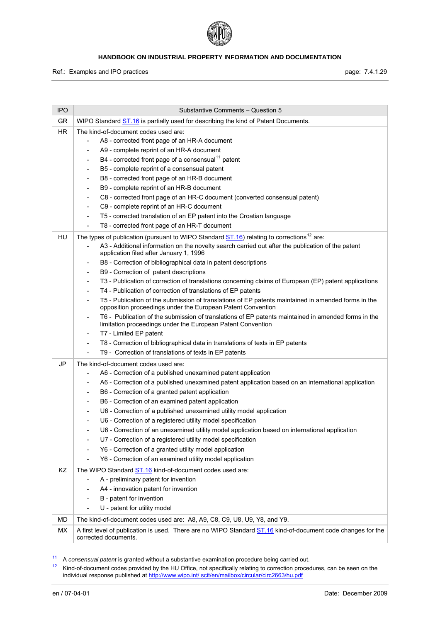

Ref.: Examples and IPO practices **page: 7.4.1.29** page: 7.4.1.29

| <b>IPO</b> | Substantive Comments - Question 5                                                                                                                                                                                                                                                                                                                                                                                                                                                                                                                                                                                                                                                                                                                                                            |
|------------|----------------------------------------------------------------------------------------------------------------------------------------------------------------------------------------------------------------------------------------------------------------------------------------------------------------------------------------------------------------------------------------------------------------------------------------------------------------------------------------------------------------------------------------------------------------------------------------------------------------------------------------------------------------------------------------------------------------------------------------------------------------------------------------------|
| GR         | WIPO Standard <b>ST.16</b> is partially used for describing the kind of Patent Documents.                                                                                                                                                                                                                                                                                                                                                                                                                                                                                                                                                                                                                                                                                                    |
| <b>HR</b>  | The kind-of-document codes used are:<br>A8 - corrected front page of an HR-A document<br>A9 - complete reprint of an HR-A document                                                                                                                                                                                                                                                                                                                                                                                                                                                                                                                                                                                                                                                           |
|            | B4 - corrected front page of a consensual <sup>11</sup> patent<br>$\overline{a}$<br>B5 - complete reprint of a consensual patent<br>$\overline{a}$<br>B8 - corrected front page of an HR-B document<br>-<br>B9 - complete reprint of an HR-B document<br>-<br>C8 - corrected front page of an HR-C document (converted consensual patent)<br>$\overline{\phantom{a}}$                                                                                                                                                                                                                                                                                                                                                                                                                        |
|            | C9 - complete reprint of an HR-C document<br>۰<br>T5 - corrected translation of an EP patent into the Croatian language<br>$\overline{\phantom{0}}$<br>T8 - corrected front page of an HR-T document<br>-                                                                                                                                                                                                                                                                                                                                                                                                                                                                                                                                                                                    |
| HU         | The types of publication (pursuant to WIPO Standard $ST.16$ ) relating to corrections <sup>12</sup> are:<br>A3 - Additional information on the novelty search carried out after the publication of the patent<br>-<br>application filed after January 1, 1996<br>B8 - Correction of bibliographical data in patent descriptions<br>-<br>B9 - Correction of patent descriptions<br>-                                                                                                                                                                                                                                                                                                                                                                                                          |
|            | T3 - Publication of correction of translations concerning claims of European (EP) patent applications<br>$\overline{\phantom{a}}$<br>T4 - Publication of correction of translations of EP patents<br>$\overline{\phantom{0}}$<br>T5 - Publication of the submission of translations of EP patents maintained in amended forms in the<br>opposition proceedings under the European Patent Convention<br>T6 - Publication of the submission of translations of EP patents maintained in amended forms in the<br>$\overline{\phantom{0}}$                                                                                                                                                                                                                                                       |
|            | limitation proceedings under the European Patent Convention<br>T7 - Limited EP patent<br>$\overline{\phantom{0}}$<br>T8 - Correction of bibliographical data in translations of texts in EP patents<br>-<br>T9 - Correction of translations of texts in EP patents<br>$\overline{\phantom{0}}$                                                                                                                                                                                                                                                                                                                                                                                                                                                                                               |
| JP         | The kind-of-document codes used are:<br>A6 - Correction of a published unexamined patent application<br>A6 - Correction of a published unexamined patent application based on an international application<br>-<br>B6 - Correction of a granted patent application<br>-<br>B6 - Correction of an examined patent application<br>$\overline{a}$<br>U6 - Correction of a published unexamined utility model application<br>$\overline{a}$<br>U6 - Correction of a registered utility model specification<br>U6 - Correction of an unexamined utility model application based on international application<br>U7 - Correction of a registered utility model specification<br>Y6 - Correction of a granted utility model application<br>Y6 - Correction of an examined utility model application |
| KZ         | The WIPO Standard ST.16 kind-of-document codes used are:<br>A - preliminary patent for invention<br>A4 - innovation patent for invention<br>B - patent for invention<br>U - patent for utility model                                                                                                                                                                                                                                                                                                                                                                                                                                                                                                                                                                                         |
| <b>MD</b>  | The kind-of-document codes used are: A8, A9, C8, C9, U8, U9, Y8, and Y9.                                                                                                                                                                                                                                                                                                                                                                                                                                                                                                                                                                                                                                                                                                                     |
| <b>MX</b>  | A first level of publication is used. There are no WIPO Standard <b>ST.16</b> kind-of-document code changes for the<br>corrected documents.                                                                                                                                                                                                                                                                                                                                                                                                                                                                                                                                                                                                                                                  |

<span id="page-29-1"></span><span id="page-29-0"></span> $\overline{11}$ 

<sup>&</sup>lt;sup>11</sup> A consensual patent is granted without a substantive examination procedure being carried out.<br><sup>12</sup> Kind-of-document codes provided by the HU Office, not specifically relating to correction procedures, can be seen on individual response published at http://www.wipo.int/ scit/en/mailbox/circular/circ2663/hu.pdf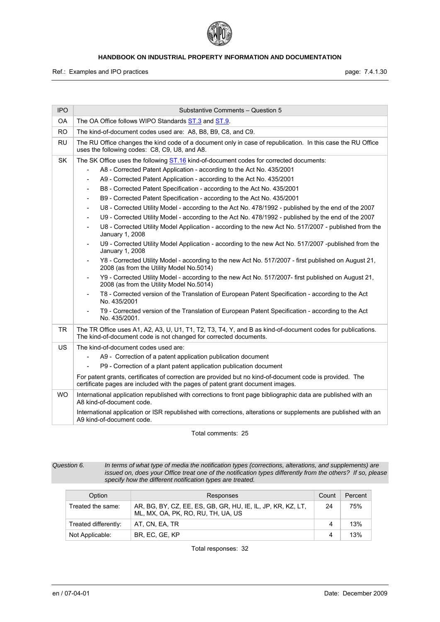

Ref.: Examples and IPO practices **page: 7.4.1.30** page: 7.4.1.30

| <b>IPO</b> | Substantive Comments - Question 5                                                                                                                                                                                                                                                                                                                                                                                                                                                                                                                                                                                                                                                                                                                                                                                                                                                                                                                                                                                                                                                                                                                                                                                                                                                                                                                                                                                                                                                                                                                                          |
|------------|----------------------------------------------------------------------------------------------------------------------------------------------------------------------------------------------------------------------------------------------------------------------------------------------------------------------------------------------------------------------------------------------------------------------------------------------------------------------------------------------------------------------------------------------------------------------------------------------------------------------------------------------------------------------------------------------------------------------------------------------------------------------------------------------------------------------------------------------------------------------------------------------------------------------------------------------------------------------------------------------------------------------------------------------------------------------------------------------------------------------------------------------------------------------------------------------------------------------------------------------------------------------------------------------------------------------------------------------------------------------------------------------------------------------------------------------------------------------------------------------------------------------------------------------------------------------------|
| 0A         | The OA Office follows WIPO Standards <b>ST.3</b> and <b>ST.9</b> .                                                                                                                                                                                                                                                                                                                                                                                                                                                                                                                                                                                                                                                                                                                                                                                                                                                                                                                                                                                                                                                                                                                                                                                                                                                                                                                                                                                                                                                                                                         |
| <b>RO</b>  | The kind-of-document codes used are: A8, B8, B9, C8, and C9.                                                                                                                                                                                                                                                                                                                                                                                                                                                                                                                                                                                                                                                                                                                                                                                                                                                                                                                                                                                                                                                                                                                                                                                                                                                                                                                                                                                                                                                                                                               |
| <b>RU</b>  | The RU Office changes the kind code of a document only in case of republication. In this case the RU Office<br>uses the following codes: C8, C9, U8, and A8.                                                                                                                                                                                                                                                                                                                                                                                                                                                                                                                                                                                                                                                                                                                                                                                                                                                                                                                                                                                                                                                                                                                                                                                                                                                                                                                                                                                                               |
| SK         | The SK Office uses the following ST.16 kind-of-document codes for corrected documents:<br>A8 - Corrected Patent Application - according to the Act No. 435/2001<br>A9 - Corrected Patent Application - according to the Act No. 435/2001<br>$\overline{\phantom{a}}$<br>B8 - Corrected Patent Specification - according to the Act No. 435/2001<br>$\overline{\phantom{a}}$<br>B9 - Corrected Patent Specification - according to the Act No. 435/2001<br>$\overline{\phantom{a}}$<br>U8 - Corrected Utility Model - according to the Act No. 478/1992 - published by the end of the 2007<br>$\blacksquare$<br>U9 - Corrected Utility Model - according to the Act No. 478/1992 - published by the end of the 2007<br>$\blacksquare$<br>U8 - Corrected Utility Model Application - according to the new Act No. 517/2007 - published from the<br>January 1, 2008<br>U9 - Corrected Utility Model Application - according to the new Act No. 517/2007 -published from the<br>January 1, 2008<br>Y8 - Corrected Utility Model - according to the new Act No. 517/2007 - first published on August 21,<br>$\overline{\phantom{a}}$<br>2008 (as from the Utility Model No.5014)<br>Y9 - Corrected Utility Model - according to the new Act No. 517/2007- first published on August 21,<br>$\blacksquare$<br>2008 (as from the Utility Model No.5014)<br>T8 - Corrected version of the Translation of European Patent Specification - according to the Act<br>No. 435/2001<br>T9 - Corrected version of the Translation of European Patent Specification - according to the Act |
| TR.        | No. 435/2001.<br>The TR Office uses A1, A2, A3, U, U1, T1, T2, T3, T4, Y, and B as kind-of-document codes for publications.                                                                                                                                                                                                                                                                                                                                                                                                                                                                                                                                                                                                                                                                                                                                                                                                                                                                                                                                                                                                                                                                                                                                                                                                                                                                                                                                                                                                                                                |
|            | The kind-of-document code is not changed for corrected documents.                                                                                                                                                                                                                                                                                                                                                                                                                                                                                                                                                                                                                                                                                                                                                                                                                                                                                                                                                                                                                                                                                                                                                                                                                                                                                                                                                                                                                                                                                                          |
| US.        | The kind-of-document codes used are:<br>A9 - Correction of a patent application publication document<br>P9 - Correction of a plant patent application publication document<br>$\blacksquare$<br>For patent grants, certificates of correction are provided but no kind-of-document code is provided. The<br>certificate pages are included with the pages of patent grant document images.                                                                                                                                                                                                                                                                                                                                                                                                                                                                                                                                                                                                                                                                                                                                                                                                                                                                                                                                                                                                                                                                                                                                                                                 |
| WO.        | International application republished with corrections to front page bibliographic data are published with an<br>A8 kind-of-document code.<br>International application or ISR republished with corrections, alterations or supplements are published with an<br>A9 kind-of-document code.                                                                                                                                                                                                                                                                                                                                                                                                                                                                                                                                                                                                                                                                                                                                                                                                                                                                                                                                                                                                                                                                                                                                                                                                                                                                                 |

Total comments: 25

*Question 6. In terms of what type of media the notification types (corrections, alterations, and supplements) are issued on, does your Office treat one of the notification types differently from the others? If so, please specify how the different notification types are treated.* 

| Option               | Responses                                                                                         | Count | Percent |
|----------------------|---------------------------------------------------------------------------------------------------|-------|---------|
| Treated the same:    | AR, BG, BY, CZ, EE, ES, GB, GR, HU, IE, IL, JP, KR, KZ, LT,<br>ML, MX, OA, PK, RO, RU, TH, UA, US | 24    | 75%     |
| Treated differently: | AT. CN. EA. TR                                                                                    | 4     | 13%     |
| Not Applicable:      | BR. EC. GE. KP                                                                                    | 4     | 13%     |

Total responses: 32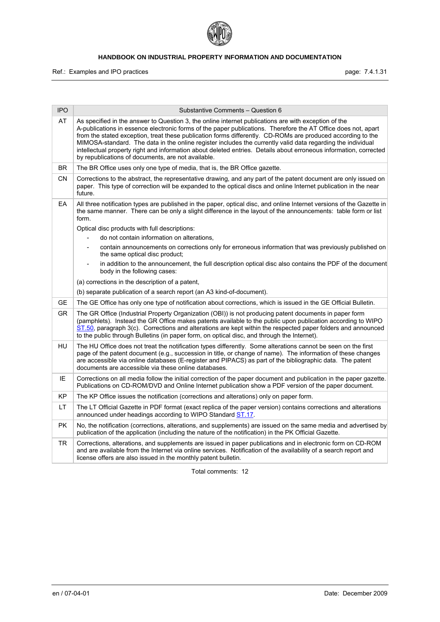

Ref.: Examples and IPO practices **page: 7.4.1.31** page: 7.4.1.31

| <b>IPO</b> | Substantive Comments - Question 6                                                                                                                                                                                                                                                                                                                                                                                                                                                                                                                                                                                              |
|------------|--------------------------------------------------------------------------------------------------------------------------------------------------------------------------------------------------------------------------------------------------------------------------------------------------------------------------------------------------------------------------------------------------------------------------------------------------------------------------------------------------------------------------------------------------------------------------------------------------------------------------------|
| AT         | As specified in the answer to Question 3, the online internet publications are with exception of the<br>A-publications in essence electronic forms of the paper publications. Therefore the AT Office does not, apart<br>from the stated exception, treat these publication forms differently. CD-ROMs are produced according to the<br>MIMOSA-standard. The data in the online register includes the currently valid data regarding the individual<br>intellectual property right and information about deleted entries. Details about erroneous information, corrected<br>by republications of documents, are not available. |
| BR         | The BR Office uses only one type of media, that is, the BR Office gazette.                                                                                                                                                                                                                                                                                                                                                                                                                                                                                                                                                     |
| CN         | Corrections to the abstract, the representative drawing, and any part of the patent document are only issued on<br>paper. This type of correction will be expanded to the optical discs and online Internet publication in the near<br>future.                                                                                                                                                                                                                                                                                                                                                                                 |
| EA         | All three notification types are published in the paper, optical disc, and online Internet versions of the Gazette in<br>the same manner. There can be only a slight difference in the layout of the announcements: table form or list<br>form.<br>Optical disc products with full descriptions:<br>do not contain information on alterations.<br>contain announcements on corrections only for erroneous information that was previously published on<br>$\overline{a}$                                                                                                                                                       |
|            | the same optical disc product;<br>in addition to the announcement, the full description optical disc also contains the PDF of the document                                                                                                                                                                                                                                                                                                                                                                                                                                                                                     |
|            | body in the following cases:                                                                                                                                                                                                                                                                                                                                                                                                                                                                                                                                                                                                   |
|            | (a) corrections in the description of a patent,                                                                                                                                                                                                                                                                                                                                                                                                                                                                                                                                                                                |
|            | (b) separate publication of a search report (an A3 kind-of-document).                                                                                                                                                                                                                                                                                                                                                                                                                                                                                                                                                          |
| <b>GE</b>  | The GE Office has only one type of notification about corrections, which is issued in the GE Official Bulletin.                                                                                                                                                                                                                                                                                                                                                                                                                                                                                                                |
| <b>GR</b>  | The GR Office (Industrial Property Organization (OBI)) is not producing patent documents in paper form<br>(pamphlets). Instead the GR Office makes patents available to the public upon publication according to WIPO<br>ST.50, paragraph 3(c). Corrections and alterations are kept within the respected paper folders and announced<br>to the public through Bulletins (in paper form, on optical disc, and through the Internet).                                                                                                                                                                                           |
| HU         | The HU Office does not treat the notification types differently. Some alterations cannot be seen on the first<br>page of the patent document (e.g., succession in title, or change of name). The information of these changes<br>are accessible via online databases (E-register and PIPACS) as part of the bibliographic data. The patent<br>documents are accessible via these online databases.                                                                                                                                                                                                                             |
| IE         | Corrections on all media follow the initial correction of the paper document and publication in the paper gazette.<br>Publications on CD-ROM/DVD and Online Internet publication show a PDF version of the paper document.                                                                                                                                                                                                                                                                                                                                                                                                     |
| KP         | The KP Office issues the notification (corrections and alterations) only on paper form.                                                                                                                                                                                                                                                                                                                                                                                                                                                                                                                                        |
| LT.        | The LT Official Gazette in PDF format (exact replica of the paper version) contains corrections and alterations<br>announced under headings according to WIPO Standard ST.17.                                                                                                                                                                                                                                                                                                                                                                                                                                                  |
| <b>PK</b>  | No, the notification (corrections, alterations, and supplements) are issued on the same media and advertised by<br>publication of the application (including the nature of the notification) in the PK Official Gazette.                                                                                                                                                                                                                                                                                                                                                                                                       |
| TR         | Corrections, alterations, and supplements are issued in paper publications and in electronic form on CD-ROM<br>and are available from the Internet via online services. Notification of the availability of a search report and<br>license offers are also issued in the monthly patent bulletin.                                                                                                                                                                                                                                                                                                                              |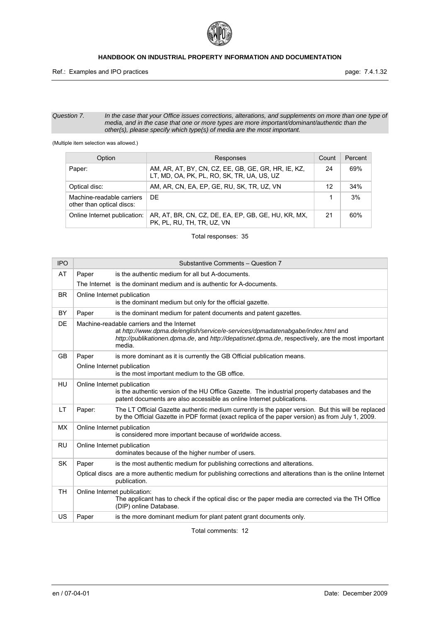

Ref.: Examples and IPO practices **page: 7.4.1.32** 

#### *Question 7. In the case that your Office issues corrections, alterations, and supplements on more than one type of media, and in the case that one or more types are more important/dominant/authentic than the other(s), please specify which type(s) of media are the most important.*

(Multiple item selection was allowed.)

| Option                                                 | Responses                                                                                         | Count | Percent |
|--------------------------------------------------------|---------------------------------------------------------------------------------------------------|-------|---------|
| Paper:                                                 | AM, AR, AT, BY, CN, CZ, EE, GB, GE, GR, HR, IE, KZ,<br>LT, MD, OA, PK, PL, RO, SK, TR, UA, US, UZ | 24    | 69%     |
| Optical disc:                                          | AM, AR, CN, EA, EP, GE, RU, SK, TR, UZ, VN                                                        | 12    | 34%     |
| Machine-readable carriers<br>other than optical discs: | DE.                                                                                               |       | 3%      |
| Online Internet publication:                           | AR, AT, BR, CN, CZ, DE, EA, EP, GB, GE, HU, KR, MX,<br>PK, PL, RU, TH, TR, UZ, VN                 | 21    | 60%     |

#### Total responses: 35

| <b>IPO</b> |        | Substantive Comments - Question 7                                                                                                                                                                                                            |
|------------|--------|----------------------------------------------------------------------------------------------------------------------------------------------------------------------------------------------------------------------------------------------|
| AT         | Paper  | is the authentic medium for all but A-documents.                                                                                                                                                                                             |
|            |        | The Internet is the dominant medium and is authentic for A-documents.                                                                                                                                                                        |
| <b>BR</b>  |        | Online Internet publication<br>is the dominant medium but only for the official gazette.                                                                                                                                                     |
| BY         | Paper  | is the dominant medium for patent documents and patent gazettes.                                                                                                                                                                             |
| DE         |        | Machine-readable carriers and the Internet<br>at http://www.dpma.de/english/service/e-services/dpmadatenabgabe/index.html and<br>http://publikationen.dpma.de, and http://depatisnet.dpma.de, respectively, are the most important<br>media. |
| <b>GB</b>  | Paper  | is more dominant as it is currently the GB Official publication means.                                                                                                                                                                       |
|            |        | Online Internet publication<br>is the most important medium to the GB office.                                                                                                                                                                |
| HU         |        | Online Internet publication<br>is the authentic version of the HU Office Gazette. The industrial property databases and the<br>patent documents are also accessible as online Internet publications.                                         |
| LT         | Paper: | The LT Official Gazette authentic medium currently is the paper version. But this will be replaced<br>by the Official Gazette in PDF format (exact replica of the paper version) as from July 1, 2009.                                       |
| <b>MX</b>  |        | Online Internet publication<br>is considered more important because of worldwide access.                                                                                                                                                     |
| <b>RU</b>  |        | Online Internet publication<br>dominates because of the higher number of users.                                                                                                                                                              |
| SK         | Paper  | is the most authentic medium for publishing corrections and alterations.                                                                                                                                                                     |
|            |        | Optical discs are a more authentic medium for publishing corrections and alterations than is the online Internet<br>publication.                                                                                                             |
| <b>TH</b>  |        | Online Internet publication:<br>The applicant has to check if the optical disc or the paper media are corrected via the TH Office<br>(DIP) online Database.                                                                                  |
| US         | Paper  | is the more dominant medium for plant patent grant documents only.                                                                                                                                                                           |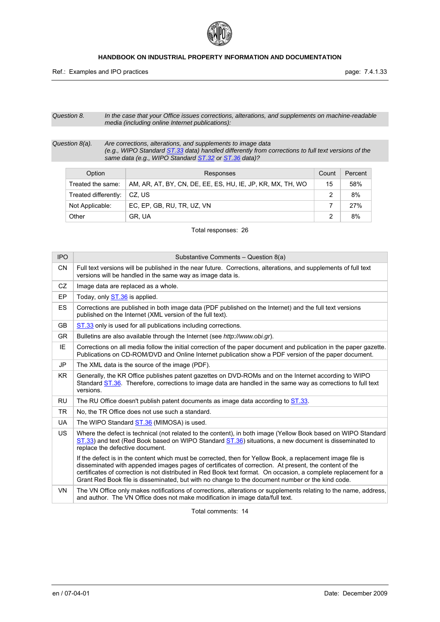

*Question 8. In the case that your Office issues corrections, alterations, and supplements on machine-readable media (including online Internet publications):* 

*Question 8(a). Are corrections, alterations, and supplements to image data (e.g., WIPO Standard ST.33 data) handled differently from corrections to full text versions of the same data (e.g., WIPO Standard ST.32 or ST.36 data)?* 

| Option<br>Responses  |                                                            | Count | Percent |
|----------------------|------------------------------------------------------------|-------|---------|
| Treated the same:    | AM, AR, AT, BY, CN, DE, EE, ES, HU, IE, JP, KR, MX, TH, WO | 15    | 58%     |
| Treated differently: | ∣CZ. US                                                    |       | 8%      |
| Not Applicable:      | EC, EP, GB, RU, TR, UZ, VN                                 |       | 27%     |
| Other                | GR, UA                                                     |       | 8%      |

Total responses: 26

| <b>IPO</b> | Substantive Comments - Question 8(a)                                                                                                                                                                                                                                                                                                                                                                                                        |
|------------|---------------------------------------------------------------------------------------------------------------------------------------------------------------------------------------------------------------------------------------------------------------------------------------------------------------------------------------------------------------------------------------------------------------------------------------------|
| <b>CN</b>  | Full text versions will be published in the near future. Corrections, alterations, and supplements of full text<br>versions will be handled in the same way as image data is.                                                                                                                                                                                                                                                               |
| CZ         | Image data are replaced as a whole.                                                                                                                                                                                                                                                                                                                                                                                                         |
| EP         | Today, only ST.36 is applied.                                                                                                                                                                                                                                                                                                                                                                                                               |
| <b>ES</b>  | Corrections are published in both image data (PDF published on the Internet) and the full text versions<br>published on the Internet (XML version of the full text).                                                                                                                                                                                                                                                                        |
| <b>GB</b>  | ST.33 only is used for all publications including corrections.                                                                                                                                                                                                                                                                                                                                                                              |
| <b>GR</b>  | Bulletins are also available through the Internet (see http://www.obi.gr).                                                                                                                                                                                                                                                                                                                                                                  |
| IE         | Corrections on all media follow the initial correction of the paper document and publication in the paper gazette.<br>Publications on CD-ROM/DVD and Online Internet publication show a PDF version of the paper document.                                                                                                                                                                                                                  |
| <b>JP</b>  | The XML data is the source of the image (PDF).                                                                                                                                                                                                                                                                                                                                                                                              |
| KR.        | Generally, the KR Office publishes patent gazettes on DVD-ROMs and on the Internet according to WIPO<br>Standard ST.36. Therefore, corrections to image data are handled in the same way as corrections to full text<br>versions.                                                                                                                                                                                                           |
| <b>RU</b>  | The RU Office doesn't publish patent documents as image data according to ST.33.                                                                                                                                                                                                                                                                                                                                                            |
| <b>TR</b>  | No, the TR Office does not use such a standard.                                                                                                                                                                                                                                                                                                                                                                                             |
| <b>UA</b>  | The WIPO Standard ST.36 (MIMOSA) is used.                                                                                                                                                                                                                                                                                                                                                                                                   |
| <b>US</b>  | Where the defect is technical (not related to the content), in both image (Yellow Book based on WIPO Standard<br>ST.33) and text (Red Book based on WIPO Standard ST.36) situations, a new document is disseminated to<br>replace the defective document.                                                                                                                                                                                   |
|            | If the defect is in the content which must be corrected, then for Yellow Book, a replacement image file is<br>disseminated with appended images pages of certificates of correction. At present, the content of the<br>certificates of correction is not distributed in Red Book text format. On occasion, a complete replacement for a<br>Grant Red Book file is disseminated, but with no change to the document number or the kind code. |
| <b>VN</b>  | The VN Office only makes notifications of corrections, alterations or supplements relating to the name, address,<br>and author. The VN Office does not make modification in image data/full text.                                                                                                                                                                                                                                           |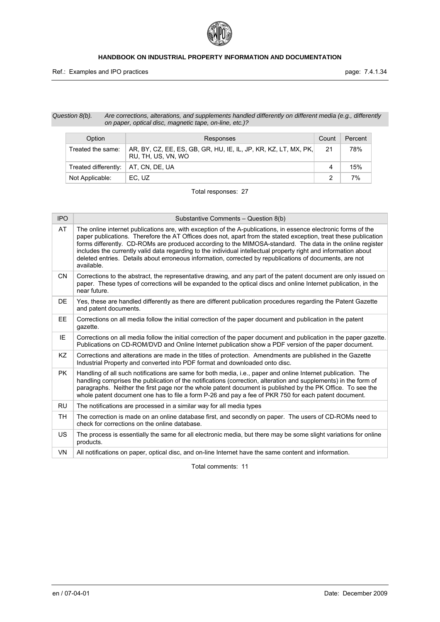

### *Question 8(b). Are corrections, alterations, and supplements handled differently on different media (e.g., differently on paper, optical disc, magnetic tape, on-line, etc.)?*

| Option                                | Count<br>Responses                                                                    |    | Percent |
|---------------------------------------|---------------------------------------------------------------------------------------|----|---------|
| Treated the same:                     | AR, BY, CZ, EE, ES, GB, GR, HU, IE, IL, JP, KR, KZ, LT, MX, PK,<br>RU. TH. US. VN. WO | 21 | 78%     |
| Treated differently:   AT, CN, DE, UA |                                                                                       | 4  | 15%     |
| Not Applicable:                       | EC, UZ                                                                                |    | 7%      |

Total responses: 27

| <b>IPO</b> | Substantive Comments - Question 8(b)                                                                                                                                                                                                                                                                                                                                                                                                                                                                                                                                                       |
|------------|--------------------------------------------------------------------------------------------------------------------------------------------------------------------------------------------------------------------------------------------------------------------------------------------------------------------------------------------------------------------------------------------------------------------------------------------------------------------------------------------------------------------------------------------------------------------------------------------|
| AT         | The online internet publications are, with exception of the A-publications, in essence electronic forms of the<br>paper publications. Therefore the AT Offices does not, apart from the stated exception, treat these publication<br>forms differently. CD-ROMs are produced according to the MIMOSA-standard. The data in the online register<br>includes the currently valid data regarding to the individual intellectual property right and information about<br>deleted entries. Details about erroneous information, corrected by republications of documents, are not<br>available. |
| <b>CN</b>  | Corrections to the abstract, the representative drawing, and any part of the patent document are only issued on<br>paper. These types of corrections will be expanded to the optical discs and online Internet publication, in the<br>near future.                                                                                                                                                                                                                                                                                                                                         |
| DE.        | Yes, these are handled differently as there are different publication procedures regarding the Patent Gazette<br>and patent documents.                                                                                                                                                                                                                                                                                                                                                                                                                                                     |
| <b>EE</b>  | Corrections on all media follow the initial correction of the paper document and publication in the patent<br>qazette.                                                                                                                                                                                                                                                                                                                                                                                                                                                                     |
| IE         | Corrections on all media follow the initial correction of the paper document and publication in the paper gazette.<br>Publications on CD-ROM/DVD and Online Internet publication show a PDF version of the paper document.                                                                                                                                                                                                                                                                                                                                                                 |
| KZ         | Corrections and alterations are made in the titles of protection. Amendments are published in the Gazette<br>Industrial Property and converted into PDF format and downloaded onto disc.                                                                                                                                                                                                                                                                                                                                                                                                   |
| <b>PK</b>  | Handling of all such notifications are same for both media, i.e., paper and online Internet publication. The<br>handling comprises the publication of the notifications (correction, alteration and supplements) in the form of<br>paragraphs. Neither the first page nor the whole patent document is published by the PK Office. To see the<br>whole patent document one has to file a form P-26 and pay a fee of PKR 750 for each patent document.                                                                                                                                      |
| <b>RU</b>  | The notifications are processed in a similar way for all media types                                                                                                                                                                                                                                                                                                                                                                                                                                                                                                                       |
| TН         | The correction is made on an online database first, and secondly on paper. The users of CD-ROMs need to<br>check for corrections on the online database.                                                                                                                                                                                                                                                                                                                                                                                                                                   |
| <b>US</b>  | The process is essentially the same for all electronic media, but there may be some slight variations for online<br>products.                                                                                                                                                                                                                                                                                                                                                                                                                                                              |
| <b>VN</b>  | All notifications on paper, optical disc, and on-line Internet have the same content and information.                                                                                                                                                                                                                                                                                                                                                                                                                                                                                      |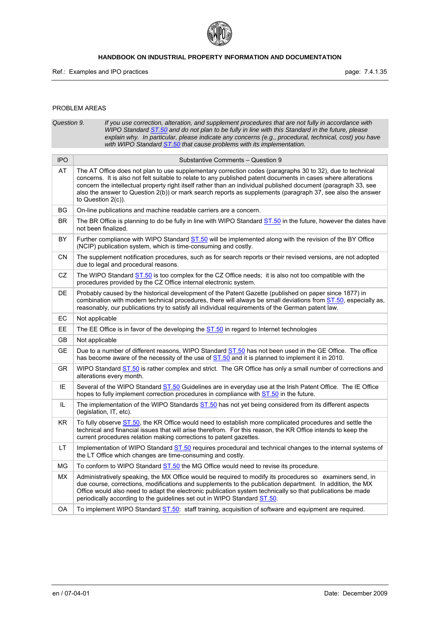

# PROBLEM AREAS

| Question 9. | If you use correction, alteration, and supplement procedures that are not fully in accordance with<br>WIPO Standard ST.50 and do not plan to be fully in line with this Standard in the future, please<br>explain why. In particular, please indicate any concerns (e.g., procedural, technical, cost) you have<br>with WIPO Standard ST.50 that cause problems with its implementation.                                                                                            |
|-------------|-------------------------------------------------------------------------------------------------------------------------------------------------------------------------------------------------------------------------------------------------------------------------------------------------------------------------------------------------------------------------------------------------------------------------------------------------------------------------------------|
| <b>IPO</b>  | Substantive Comments - Question 9                                                                                                                                                                                                                                                                                                                                                                                                                                                   |
| AT          | The AT Office does not plan to use supplementary correction codes (paragraphs 30 to 32), due to technical<br>concerns. It is also not felt suitable to relate to any published patent documents in cases where alterations<br>concern the intellectual property right itself rather than an individual published document (paragraph 33, see<br>also the answer to Question 2(b)) or mark search reports as supplements (paragraph 37, see also the answer<br>to Question $2(c)$ ). |
| BG          | On-line publications and machine readable carriers are a concern.                                                                                                                                                                                                                                                                                                                                                                                                                   |
| BR.         | The BR Office is planning to do be fully in line with WIPO Standard ST.50 in the future, however the dates have<br>not been finalized.                                                                                                                                                                                                                                                                                                                                              |
| BY          | Further compliance with WIPO Standard ST.50 will be implemented along with the revision of the BY Office<br>(NCIP) publication system, which is time-consuming and costly.                                                                                                                                                                                                                                                                                                          |
| CN          | The supplement notification procedures, such as for search reports or their revised versions, are not adopted<br>due to legal and procedural reasons.                                                                                                                                                                                                                                                                                                                               |
| CZ          | The WIPO Standard <b>ST.50</b> is too complex for the CZ Office needs; it is also not too compatible with the<br>procedures provided by the CZ Office internal electronic system.                                                                                                                                                                                                                                                                                                   |
| DE          | Probably caused by the historical development of the Patent Gazette (published on paper since 1877) in<br>combination with modern technical procedures, there will always be small deviations from ST.50, especially as,<br>reasonably, our publications try to satisfy all individual requirements of the German patent law.                                                                                                                                                       |
| EC          | Not applicable                                                                                                                                                                                                                                                                                                                                                                                                                                                                      |
| EE          | The EE Office is in favor of the developing the ST.50 in regard to Internet technologies                                                                                                                                                                                                                                                                                                                                                                                            |
| GB          | Not applicable                                                                                                                                                                                                                                                                                                                                                                                                                                                                      |
| <b>GE</b>   | Due to a number of different reasons, WIPO Standard ST.50 has not been used in the GE Office. The office<br>has become aware of the necessity of the use of ST.50 and it is planned to implement it in 2010.                                                                                                                                                                                                                                                                        |
| <b>GR</b>   | WIPO Standard ST.50 is rather complex and strict. The GR Office has only a small number of corrections and<br>alterations every month.                                                                                                                                                                                                                                                                                                                                              |
| IE          | Several of the WIPO Standard ST.50 Guidelines are in everyday use at the Irish Patent Office. The IE Office<br>hopes to fully implement correction procedures in compliance with ST.50 in the future.                                                                                                                                                                                                                                                                               |
| IL          | The implementation of the WIPO Standards ST.50 has not yet being considered from its different aspects<br>(legislation, IT, etc).                                                                                                                                                                                                                                                                                                                                                   |
| KR.         | To fully observe ST.50, the KR Office would need to establish more complicated procedures and settle the<br>technical and financial issues that will arise therefrom. For this reason, the KR Office intends to keep the<br>current procedures relation making corrections to patent gazettes.                                                                                                                                                                                      |
| LT          | Implementation of WIPO Standard ST.50 requires procedural and technical changes to the internal systems of<br>the LT Office which changes are time-consuming and costly.                                                                                                                                                                                                                                                                                                            |
| MG          | To conform to WIPO Standard ST.50 the MG Office would need to revise its procedure.                                                                                                                                                                                                                                                                                                                                                                                                 |
| МX          | Administratively speaking, the MX Office would be required to modify its procedures so examiners send, in<br>due course, corrections, modifications and supplements to the publication department. In addition, the MX<br>Office would also need to adapt the electronic publication system technically so that publications be made<br>periodically according to the guidelines set out in WIPO Standard ST.50.                                                                    |
| OA          | To implement WIPO Standard ST.50: staff training, acquisition of software and equipment are required.                                                                                                                                                                                                                                                                                                                                                                               |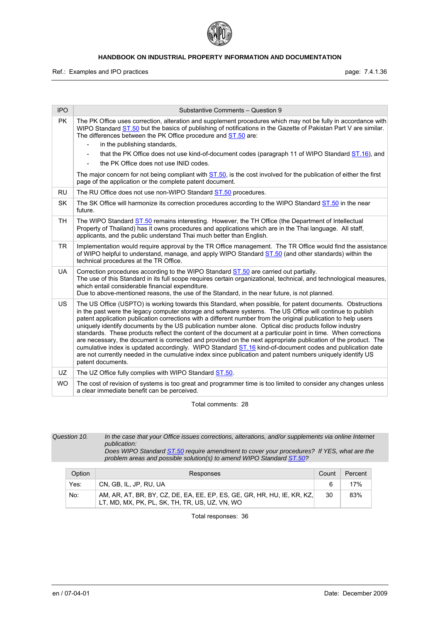

Ref.: Examples and IPO practices **page: 7.4.1.36** page: 7.4.1.36

| <b>IPO</b> | Substantive Comments - Question 9                                                                                                                                                                                                                                                                                                                                                                                                                                                                                                                                                                                                                                                                                                                                                                                                                                                                                                  |
|------------|------------------------------------------------------------------------------------------------------------------------------------------------------------------------------------------------------------------------------------------------------------------------------------------------------------------------------------------------------------------------------------------------------------------------------------------------------------------------------------------------------------------------------------------------------------------------------------------------------------------------------------------------------------------------------------------------------------------------------------------------------------------------------------------------------------------------------------------------------------------------------------------------------------------------------------|
| <b>PK</b>  | The PK Office uses correction, alteration and supplement procedures which may not be fully in accordance with<br>WIPO Standard ST.50 but the basics of publishing of notifications in the Gazette of Pakistan Part V are similar.<br>The differences between the PK Office procedure and ST.50 are:                                                                                                                                                                                                                                                                                                                                                                                                                                                                                                                                                                                                                                |
|            | in the publishing standards,<br>$\overline{\phantom{0}}$                                                                                                                                                                                                                                                                                                                                                                                                                                                                                                                                                                                                                                                                                                                                                                                                                                                                           |
|            | that the PK Office does not use kind-of-document codes (paragraph 11 of WIPO Standard ST.16), and                                                                                                                                                                                                                                                                                                                                                                                                                                                                                                                                                                                                                                                                                                                                                                                                                                  |
|            | the PK Office does not use INID codes.<br>$\frac{1}{2}$                                                                                                                                                                                                                                                                                                                                                                                                                                                                                                                                                                                                                                                                                                                                                                                                                                                                            |
|            | The major concern for not being compliant with ST.50, is the cost involved for the publication of either the first<br>page of the application or the complete patent document.                                                                                                                                                                                                                                                                                                                                                                                                                                                                                                                                                                                                                                                                                                                                                     |
| <b>RU</b>  | The RU Office does not use non-WIPO Standard ST.50 procedures.                                                                                                                                                                                                                                                                                                                                                                                                                                                                                                                                                                                                                                                                                                                                                                                                                                                                     |
| <b>SK</b>  | The SK Office will harmonize its correction procedures according to the WIPO Standard ST.50 in the near<br>future.                                                                                                                                                                                                                                                                                                                                                                                                                                                                                                                                                                                                                                                                                                                                                                                                                 |
| <b>TH</b>  | The WIPO Standard ST.50 remains interesting. However, the TH Office (the Department of Intellectual<br>Property of Thailand) has it owns procedures and applications which are in the Thai language. All staff,<br>applicants, and the public understand Thai much better than English.                                                                                                                                                                                                                                                                                                                                                                                                                                                                                                                                                                                                                                            |
| <b>TR</b>  | Implementation would require approval by the TR Office management. The TR Office would find the assistance<br>of WIPO helpful to understand, manage, and apply WIPO Standard ST.50 (and other standards) within the<br>technical procedures at the TR Office.                                                                                                                                                                                                                                                                                                                                                                                                                                                                                                                                                                                                                                                                      |
| UA         | Correction procedures according to the WIPO Standard ST.50 are carried out partially.<br>The use of this Standard in its full scope requires certain organizational, technical, and technological measures,<br>which entail considerable financial expenditure.<br>Due to above-mentioned reasons, the use of the Standard, in the near future, is not planned.                                                                                                                                                                                                                                                                                                                                                                                                                                                                                                                                                                    |
| <b>US</b>  | The US Office (USPTO) is working towards this Standard, when possible, for patent documents. Obstructions<br>in the past were the legacy computer storage and software systems. The US Office will continue to publish<br>patent application publication corrections with a different number from the original publication to help users<br>uniquely identify documents by the US publication number alone. Optical disc products follow industry<br>standards. These products reflect the content of the document at a particular point in time. When corrections<br>are necessary, the document is corrected and provided on the next appropriate publication of the product. The<br>cumulative index is updated accordingly. WIPO Standard ST.16 kind-of-document codes and publication date<br>are not currently needed in the cumulative index since publication and patent numbers uniquely identify US<br>patent documents. |
| UZ.        | The UZ Office fully complies with WIPO Standard ST.50.                                                                                                                                                                                                                                                                                                                                                                                                                                                                                                                                                                                                                                                                                                                                                                                                                                                                             |
| <b>WO</b>  | The cost of revision of systems is too great and programmer time is too limited to consider any changes unless<br>a clear immediate benefit can be perceived.                                                                                                                                                                                                                                                                                                                                                                                                                                                                                                                                                                                                                                                                                                                                                                      |

Total comments: 28

*Question 10. In the case that your Office issues corrections, alterations, and/or supplements via online Internet publication: Does WIPO Standard ST.50 require amendment to cover your procedures? If YES, what are the problem areas and possible solution(s) to amend WIPO Standard ST.50?* 

| Option | Responses                                                                                                                 | Count | Percent |
|--------|---------------------------------------------------------------------------------------------------------------------------|-------|---------|
| Yes:   | CN, GB, IL, JP, RU, UA                                                                                                    |       | 17%     |
| No:    | AM, AR, AT, BR, BY, CZ, DE, EA, EE, EP, ES, GE, GR, HR, HU, IE, KR, KZ,<br>LT, MD, MX, PK, PL, SK, TH, TR, US, UZ, VN, WO | 30    | 83%     |

Total responses: 36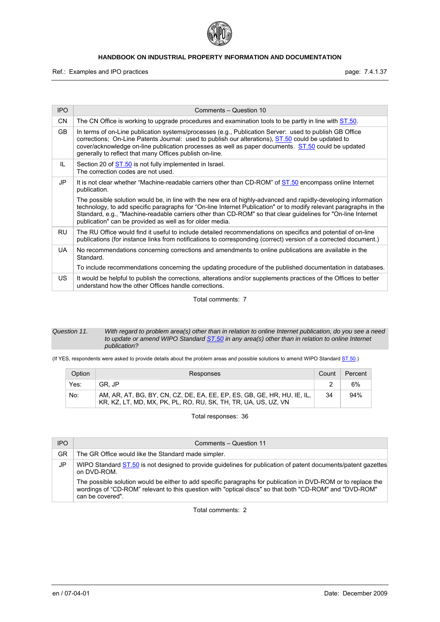

Ref.: Examples and IPO practices **page: 7.4.1.37** 

| <b>IPO</b> | Comments - Question 10                                                                                                                                                                                                                                                                                                                                                                                          |
|------------|-----------------------------------------------------------------------------------------------------------------------------------------------------------------------------------------------------------------------------------------------------------------------------------------------------------------------------------------------------------------------------------------------------------------|
| CN         | The CN Office is working to upgrade procedures and examination tools to be partly in line with ST.50.                                                                                                                                                                                                                                                                                                           |
| <b>GB</b>  | In terms of on-Line publication systems/processes (e.g., Publication Server: used to publish GB Office<br>corrections; On-Line Patents Journal: used to publish our alterations), ST.50 could be updated to<br>cover/acknowledge on-line publication processes as well as paper documents. ST.50 could be updated<br>generally to reflect that many Offices publish on-line.                                    |
| IL         | Section 20 of ST.50 is not fully implemented in Israel.<br>The correction codes are not used.                                                                                                                                                                                                                                                                                                                   |
| JP         | It is not clear whether "Machine-readable carriers other than CD-ROM" of ST.50 encompass online Internet<br>publication.                                                                                                                                                                                                                                                                                        |
|            | The possible solution would be, in line with the new era of highly-advanced and rapidly-developing information<br>technology, to add specific paragraphs for "On-line Internet Publication" or to modify relevant paragraphs in the<br>Standard, e.g., "Machine-readable carriers other than CD-ROM" so that clear quidelines for "On-line Internet<br>publication" can be provided as well as for older media. |
| <b>RU</b>  | The RU Office would find it useful to include detailed recommendations on specifics and potential of on-line<br>publications (for instance links from notifications to corresponding (correct) version of a corrected document.)                                                                                                                                                                                |
| UA.        | No recommendations concerning corrections and amendments to online publications are available in the<br>Standard.                                                                                                                                                                                                                                                                                               |
|            | To include recommendations concerning the updating procedure of the published documentation in databases.                                                                                                                                                                                                                                                                                                       |
| US.        | It would be helpful to publish the corrections, alterations and/or supplements practices of the Offices to better<br>understand how the other Offices handle corrections.                                                                                                                                                                                                                                       |

Total comments: 7

#### *Question 11. With regard to problem area(s) other than in relation to online Internet publication, do you see a need to update or amend WIPO Standard ST.50 in any area(s) other than in relation to online Internet publication?*

(If YES, respondents were asked to provide details about the problem areas and possible solutions to amend WIPO Standard ST.50.)

| Option | Responses                                                                                                                                 | Count | Percent |
|--------|-------------------------------------------------------------------------------------------------------------------------------------------|-------|---------|
| Yes:   | GR. JP                                                                                                                                    |       | 6%      |
| No:    | AM, AR, AT, BG, BY, CN, CZ, DE, EA, EE, EP, ES, GB, GE, HR, HU, IE, IL,<br>KR, KZ, LT, MD, MX, PK, PL, RO, RU, SK, TH, TR, UA, US, UZ, VN | 34    | 94%     |

Total responses: 36

| <b>IPO</b> | Comments - Question 11                                                                                                                                                                                                                       |
|------------|----------------------------------------------------------------------------------------------------------------------------------------------------------------------------------------------------------------------------------------------|
| GR         | The GR Office would like the Standard made simpler.                                                                                                                                                                                          |
| JP.        | WIPO Standard ST.50 is not designed to provide quidelines for publication of patent documents/patent gazettes<br>on DVD-ROM.                                                                                                                 |
|            | The possible solution would be either to add specific paragraphs for publication in DVD-ROM or to replace the<br>wordings of "CD-ROM" relevant to this question with "optical discs" so that both "CD-ROM" and "DVD-ROM"<br>can be covered". |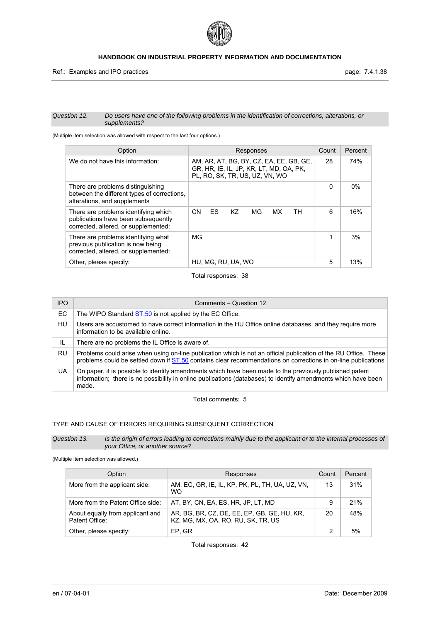

#### *Question 12. Do users have one of the following problems in the identification of corrections, alterations, or supplements?*

(Multiple item selection was allowed with respect to the last four options.)

| Option                                                                                                              | Responses                                                                                                            | Count    | Percent |
|---------------------------------------------------------------------------------------------------------------------|----------------------------------------------------------------------------------------------------------------------|----------|---------|
| We do not have this information:                                                                                    | AM, AR, AT, BG, BY, CZ, EA, EE, GB, GE,<br>GR, HR, IE, IL, JP, KR, LT, MD, OA, PK,<br>PL. RO. SK. TR. US. UZ. VN. WO | 28       | 74%     |
| There are problems distinguishing<br>between the different types of corrections.<br>alterations, and supplements    |                                                                                                                      | $\Omega$ | $0\%$   |
| There are problems identifying which<br>publications have been subsequently<br>corrected, altered, or supplemented: | <b>CN</b><br>ES<br>K7<br>MG<br>TН<br>MX.                                                                             | 6        | 16%     |
| There are problems identifying what<br>previous publication is now being<br>corrected, altered, or supplemented:    | MG                                                                                                                   | 1        | 3%      |
| Other, please specify:                                                                                              | HU, MG, RU, UA, WO                                                                                                   | 5        | 13%     |

Total responses: 38

| <b>IPO</b> | Comments - Question 12                                                                                                                                                                                                             |
|------------|------------------------------------------------------------------------------------------------------------------------------------------------------------------------------------------------------------------------------------|
| EC.        | The WIPO Standard ST.50 is not applied by the EC Office.                                                                                                                                                                           |
| HU         | Users are accustomed to have correct information in the HU Office online databases, and they require more<br>information to be available online.                                                                                   |
| IL         | There are no problems the IL Office is aware of.                                                                                                                                                                                   |
| RU         | Problems could arise when using on-line publication which is not an official publication of the RU Office. These<br>problems could be settled down if ST.50 contains clear recommendations on corrections in on-line publications  |
| UA         | On paper, it is possible to identify amendments which have been made to the previously published patent<br>information; there is no possibility in online publications (databases) to identify amendments which have been<br>made. |

Total comments: 5

# TYPE AND CAUSE OF ERRORS REQUIRING SUBSEQUENT CORRECTION

*Question 13. Is the origin of errors leading to corrections mainly due to the applicant or to the internal processes of your Office, or another source?* 

(Multiple item selection was allowed.)

| Option                                             | Responses                                                                         | Count | Percent |
|----------------------------------------------------|-----------------------------------------------------------------------------------|-------|---------|
| More from the applicant side:                      | AM, EC, GR, IE, IL, KP, PK, PL, TH, UA, UZ, VN,<br><b>WO</b>                      | 13    | 31%     |
| More from the Patent Office side:                  | AT, BY, CN, EA, ES, HR, JP, LT, MD                                                | 9     | 21%     |
| About equally from applicant and<br>Patent Office: | AR, BG, BR, CZ, DE, EE, EP, GB, GE, HU, KR,<br>KZ, MG, MX, OA, RO, RU, SK, TR, US | 20    | 48%     |
| Other, please specify:                             | EP. GR                                                                            |       | 5%      |

Total responses: 42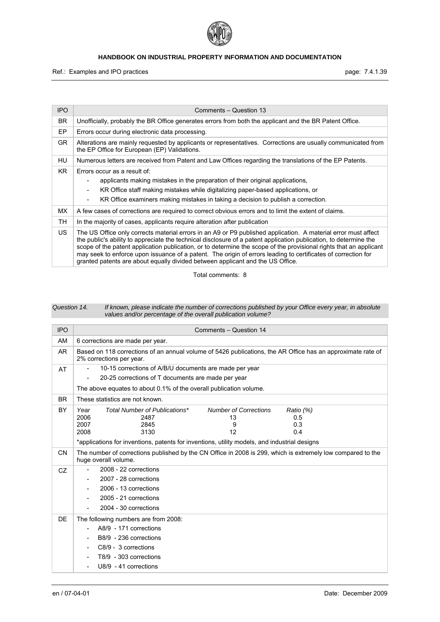

Ref.: Examples and IPO practices **page: 7.4.1.39** page: 7.4.1.39

| <b>IPO</b>                                                                                                                                                                                                                                                                                        | Comments - Question 13                                                                                                                                                                                                                                                                                                                                                                                                                                                                                                                                       |
|---------------------------------------------------------------------------------------------------------------------------------------------------------------------------------------------------------------------------------------------------------------------------------------------------|--------------------------------------------------------------------------------------------------------------------------------------------------------------------------------------------------------------------------------------------------------------------------------------------------------------------------------------------------------------------------------------------------------------------------------------------------------------------------------------------------------------------------------------------------------------|
| BR.                                                                                                                                                                                                                                                                                               | Unofficially, probably the BR Office generates errors from both the applicant and the BR Patent Office.                                                                                                                                                                                                                                                                                                                                                                                                                                                      |
| EP                                                                                                                                                                                                                                                                                                | Errors occur during electronic data processing.                                                                                                                                                                                                                                                                                                                                                                                                                                                                                                              |
| GR.                                                                                                                                                                                                                                                                                               | Alterations are mainly requested by applicants or representatives. Corrections are usually communicated from<br>the EP Office for European (EP) Validations.                                                                                                                                                                                                                                                                                                                                                                                                 |
| HU                                                                                                                                                                                                                                                                                                | Numerous letters are received from Patent and Law Offices regarding the translations of the EP Patents.                                                                                                                                                                                                                                                                                                                                                                                                                                                      |
| KR.<br>Errors occur as a result of:<br>applicants making mistakes in the preparation of their original applications,<br>KR Office staff making mistakes while digitalizing paper-based applications, or<br>KR Office examiners making mistakes in taking a decision to publish a correction.<br>- |                                                                                                                                                                                                                                                                                                                                                                                                                                                                                                                                                              |
| МX                                                                                                                                                                                                                                                                                                | A few cases of corrections are required to correct obvious errors and to limit the extent of claims.                                                                                                                                                                                                                                                                                                                                                                                                                                                         |
| TН                                                                                                                                                                                                                                                                                                | In the majority of cases, applicants require alteration after publication                                                                                                                                                                                                                                                                                                                                                                                                                                                                                    |
| US.                                                                                                                                                                                                                                                                                               | The US Office only corrects material errors in an A9 or P9 published application. A material error must affect<br>the public's ability to appreciate the technical disclosure of a patent application publication, to determine the<br>scope of the patent application publication, or to determine the scope of the provisional rights that an applicant<br>may seek to enforce upon issuance of a patent. The origin of errors leading to certificates of correction for<br>granted patents are about equally divided between applicant and the US Office. |

Total comments: 8

#### *Question 14. If known, please indicate the number of corrections published by your Office every year, in absolute values and/or percentage of the overall publication volume?*

| <b>IPO</b> | Comments - Question 14                                                                                                                                                   |  |  |
|------------|--------------------------------------------------------------------------------------------------------------------------------------------------------------------------|--|--|
| AM         | 6 corrections are made per year.                                                                                                                                         |  |  |
| <b>AR</b>  | Based on 118 corrections of an annual volume of 5426 publications, the AR Office has an approximate rate of<br>2% corrections per year.                                  |  |  |
| AT         | 10-15 corrections of A/B/U documents are made per year                                                                                                                   |  |  |
|            | 20-25 corrections of T documents are made per year<br>$\blacksquare$                                                                                                     |  |  |
|            | The above equates to about 0.1% of the overall publication volume.                                                                                                       |  |  |
| <b>BR</b>  | These statistics are not known.                                                                                                                                          |  |  |
| <b>BY</b>  | Total Number of Publications*<br><b>Number of Corrections</b><br>Year<br>Ratio (%)<br>2006<br>2487<br>13<br>0.5<br>0.3<br>2007<br>2845<br>9<br>2008<br>12<br>3130<br>0.4 |  |  |
|            | *applications for inventions, patents for inventions, utility models, and industrial designs                                                                             |  |  |
| <b>CN</b>  | The number of corrections published by the CN Office in 2008 is 299, which is extremely low compared to the<br>huge overall volume.                                      |  |  |
| <b>CZ</b>  | 2008 - 22 corrections<br>2007 - 28 corrections<br>2006 - 13 corrections<br>2005 - 21 corrections<br>2004 - 30 corrections                                                |  |  |
| DE         | The following numbers are from 2008:<br>A8/9 - 171 corrections<br>B8/9 - 236 corrections<br>C8/9 - 3 corrections<br>T8/9 - 303 corrections<br>U8/9 - 41 corrections      |  |  |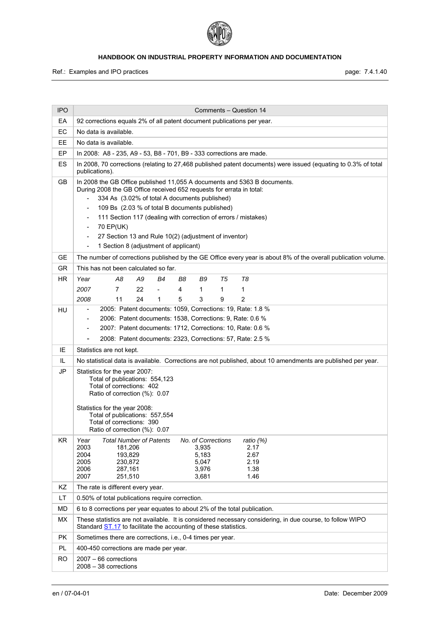

Ref.: Examples and IPO practices **page: 7.4.1.40** page: 7.4.1.40

| <b>IPO</b> | Comments - Question 14                                                                                                                                                        |  |  |  |  |
|------------|-------------------------------------------------------------------------------------------------------------------------------------------------------------------------------|--|--|--|--|
| EA         | 92 corrections equals 2% of all patent document publications per year.                                                                                                        |  |  |  |  |
| EC         | No data is available.                                                                                                                                                         |  |  |  |  |
| EE         | No data is available.                                                                                                                                                         |  |  |  |  |
| EP         | In 2008: A8 - 235, A9 - 53, B8 - 701, B9 - 333 corrections are made.                                                                                                          |  |  |  |  |
| ES         | In 2008, 70 corrections (relating to 27,468 published patent documents) were issued (equating to 0.3% of total<br>publications).                                              |  |  |  |  |
| <b>GB</b>  | In 2008 the GB Office published 11,055 A documents and 5363 B documents.<br>During 2008 the GB Office received 652 requests for errata in total:                              |  |  |  |  |
|            | 334 As (3.02% of total A documents published)                                                                                                                                 |  |  |  |  |
|            | 109 Bs (2.03 % of total B documents published)                                                                                                                                |  |  |  |  |
|            | 111 Section 117 (dealing with correction of errors / mistakes)                                                                                                                |  |  |  |  |
|            | 70 EP(UK)<br>$\blacksquare$                                                                                                                                                   |  |  |  |  |
|            | 27 Section 13 and Rule 10(2) (adjustment of inventor)<br>$\overline{\phantom{a}}$                                                                                             |  |  |  |  |
|            | 1 Section 8 (adjustment of applicant)<br>$\overline{\phantom{a}}$                                                                                                             |  |  |  |  |
| <b>GE</b>  | The number of corrections published by the GE Office every year is about 8% of the overall publication volume.                                                                |  |  |  |  |
| GR         | This has not been calculated so far.                                                                                                                                          |  |  |  |  |
| HR.        | Year<br>A8<br>A9<br>B4<br>T8<br>B8<br>B9<br>T5                                                                                                                                |  |  |  |  |
|            | $\overline{7}$<br>2007<br>22<br>4<br>1<br>1<br>1<br>$\blacksquare$                                                                                                            |  |  |  |  |
|            | 24<br>3<br>11<br>$\mathbf{1}$<br>5<br>9<br>2<br>2008                                                                                                                          |  |  |  |  |
| HU         | 2005: Patent documents: 1059, Corrections: 19, Rate: 1.8 %<br>$\blacksquare$<br>2006: Patent documents: 1538, Corrections: 9, Rate: 0.6 %<br>$\blacksquare$                   |  |  |  |  |
|            | 2007: Patent documents: 1712, Corrections: 10, Rate: 0.6 %                                                                                                                    |  |  |  |  |
|            | 2008: Patent documents: 2323, Corrections: 57, Rate: 2.5 %                                                                                                                    |  |  |  |  |
| IE         | Statistics are not kept.                                                                                                                                                      |  |  |  |  |
| IL         | No statistical data is available. Corrections are not published, about 10 amendments are published per year.                                                                  |  |  |  |  |
| JP         | Statistics for the year 2007:                                                                                                                                                 |  |  |  |  |
|            | Total of publications: 554,123<br>Total of corrections: 402                                                                                                                   |  |  |  |  |
|            | Ratio of correction (%): 0.07                                                                                                                                                 |  |  |  |  |
|            |                                                                                                                                                                               |  |  |  |  |
|            | Statistics for the year 2008:<br>Total of publications: 557,554                                                                                                               |  |  |  |  |
|            | Total of corrections: 390<br>Ratio of correction (%): 0.07                                                                                                                    |  |  |  |  |
| <b>KR</b>  | No. of Corrections<br>Year<br><b>Total Number of Patents</b><br>ratio $(%)$                                                                                                   |  |  |  |  |
|            | 2003<br>181,206<br>3,935<br>2.17                                                                                                                                              |  |  |  |  |
|            | 2.67<br>2004<br>193,829<br>5,183                                                                                                                                              |  |  |  |  |
|            | 2005<br>230,872<br>5,047<br>2.19<br>2006<br>287,161<br>3,976<br>1.38                                                                                                          |  |  |  |  |
|            | 2007<br>251,510<br>3,681<br>1.46                                                                                                                                              |  |  |  |  |
| KZ         | The rate is different every year.                                                                                                                                             |  |  |  |  |
| LT         | 0.50% of total publications require correction.                                                                                                                               |  |  |  |  |
| MD         | 6 to 8 corrections per year equates to about 2% of the total publication.                                                                                                     |  |  |  |  |
| <b>MX</b>  | These statistics are not available. It is considered necessary considering, in due course, to follow WIPO<br>Standard ST.17 to facilitate the accounting of these statistics. |  |  |  |  |
| <b>PK</b>  | Sometimes there are corrections, i.e., 0-4 times per year.                                                                                                                    |  |  |  |  |
| PL         | 400-450 corrections are made per year.                                                                                                                                        |  |  |  |  |
| RO         | $2007 - 66$ corrections<br>$2008 - 38$ corrections                                                                                                                            |  |  |  |  |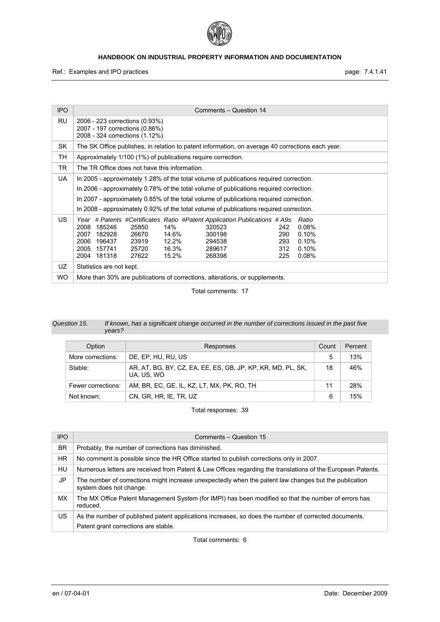

Ref.: Examples and IPO practices **page: 7.4.1.41** page: 7.4.1.41

| <b>IPO</b> | Comments - Question 14                                                                                                                                                                                                                                                                                                                                                                                 |  |  |
|------------|--------------------------------------------------------------------------------------------------------------------------------------------------------------------------------------------------------------------------------------------------------------------------------------------------------------------------------------------------------------------------------------------------------|--|--|
| RU         | 2006 - 223 corrections (0.93%)<br>2007 - 197 corrections (0.86%)<br>2008 - 324 corrections (1.12%)                                                                                                                                                                                                                                                                                                     |  |  |
| SK         | The SK Office publishes, in relation to patent information, on average 40 corrections each year.                                                                                                                                                                                                                                                                                                       |  |  |
| TН         | Approximately 1/100 (1%) of publications require correction.                                                                                                                                                                                                                                                                                                                                           |  |  |
| TR.        | The TR Office does not have this information.                                                                                                                                                                                                                                                                                                                                                          |  |  |
| <b>UA</b>  | In 2005 - approximately 1.28% of the total volume of publications required correction.<br>In 2006 - approximately 0.78% of the total volume of publications required correction.<br>In 2007 - approximately 0.85% of the total volume of publications required correction.<br>In 2008 - approximately 0.92% of the total volume of publications required correction.                                   |  |  |
| US.        | Year # Patents #Certificates Ratio #Patent Application Publications # A9s<br>Ratio<br>185246<br>14%<br>2008<br>25850<br>320523<br>0.08%<br>242<br>290<br>0.10%<br>2007<br>182928<br>14.6%<br>300198<br>26670<br>12.2%<br>0.10%<br>2006<br>196437<br>294538<br>293<br>23919<br>2005<br>16.3%<br>312<br>0.10%<br>157741<br>25720<br>289617<br>15.2%<br>268398<br>225<br>0.08%<br>2004<br>181318<br>27622 |  |  |
| UZ         | Statistics are not kept.                                                                                                                                                                                                                                                                                                                                                                               |  |  |
| WO.        | More than 30% are publications of corrections, alterations, or supplements.                                                                                                                                                                                                                                                                                                                            |  |  |

Total comments: 17

| Question 15. | If known, has a significant change occurred in the number of corrections issued in the past five |
|--------------|--------------------------------------------------------------------------------------------------|
|              | vears?                                                                                           |

| Option             | Responses                                                                 | Count | Percent |
|--------------------|---------------------------------------------------------------------------|-------|---------|
| More corrections:  | DE, EP, HU, RU, US                                                        | 5     | 13%     |
| Stable:            | AR, AT, BG, BY, CZ, EA, EE, ES, GB, JP, KP, KR, MD, PL, SK,<br>UA, US, WO | 18    | 46%     |
| Fewer corrections: | AM, BR, EC, GE, IL, KZ, LT, MX, PK, RO, TH                                | 11    | 28%     |
| Not known:         | CN, GR, HR, IE, TR, UZ                                                    | 6     | 15%     |

Total responses: 39

| <b>IPO</b> | Comments – Question 15                                                                                                                       |
|------------|----------------------------------------------------------------------------------------------------------------------------------------------|
| <b>BR</b>  | Probably, the number of corrections has diminished.                                                                                          |
| HR.        | No comment is possible since the HR Office started to publish corrections only in 2007.                                                      |
| HU         | Numerous letters are received from Patent & Law Offices regarding the translations of the European Patents.                                  |
| JP         | The number of corrections might increase unexpectedly when the patent law changes but the publication<br>system does not change.             |
| MX.        | The MX Office Patent Management System (for IMPI) has been modified so that the number of errors has<br>reduced.                             |
| US         | As the number of published patent applications increases, so does the number of corrected documents.<br>Patent grant corrections are stable. |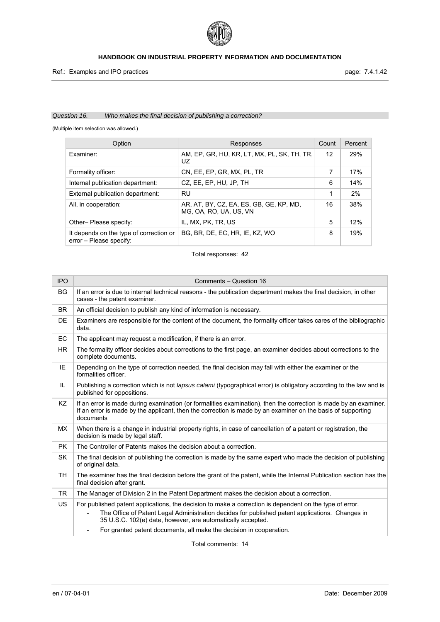

# *Question 16. Who makes the final decision of publishing a correction?*

(Multiple item selection was allowed.)

| Option                                                             | Responses                                                         | Count | Percent |
|--------------------------------------------------------------------|-------------------------------------------------------------------|-------|---------|
| Examiner:                                                          | AM, EP, GR, HU, KR, LT, MX, PL, SK, TH, TR,<br>UZ.                | 12    | 29%     |
| Formality officer:                                                 | CN, EE, EP, GR, MX, PL, TR                                        | 7     | 17%     |
| Internal publication department:                                   | CZ, EE, EP, HU, JP, TH                                            | 6     | 14%     |
| External publication department:                                   | <b>RU</b>                                                         | 1     | 2%      |
| All, in cooperation:                                               | AR, AT, BY, CZ, EA, ES, GB, GE, KP, MD,<br>MG, OA, RO, UA, US, VN | 16    | 38%     |
| Other-Please specify:                                              | IL, MX, PK, TR, US                                                | 5     | 12%     |
| It depends on the type of correction or<br>error - Please specify: | BG, BR, DE, EC, HR, IE, KZ, WO                                    | 8     | 19%     |

Total responses: 42

| <b>IPO</b> | Comments - Question 16                                                                                                                                                                                                                                                                                                                                |
|------------|-------------------------------------------------------------------------------------------------------------------------------------------------------------------------------------------------------------------------------------------------------------------------------------------------------------------------------------------------------|
| <b>BG</b>  | If an error is due to internal technical reasons - the publication department makes the final decision, in other<br>cases - the patent examiner.                                                                                                                                                                                                      |
| <b>BR</b>  | An official decision to publish any kind of information is necessary.                                                                                                                                                                                                                                                                                 |
| DE         | Examiners are responsible for the content of the document, the formality officer takes cares of the bibliographic<br>data.                                                                                                                                                                                                                            |
| EC         | The applicant may request a modification, if there is an error.                                                                                                                                                                                                                                                                                       |
| <b>HR</b>  | The formality officer decides about corrections to the first page, an examiner decides about corrections to the<br>complete documents.                                                                                                                                                                                                                |
| IE         | Depending on the type of correction needed, the final decision may fall with either the examiner or the<br>formalities officer.                                                                                                                                                                                                                       |
| IL         | Publishing a correction which is not lapsus calami (typographical error) is obligatory according to the law and is<br>published for oppositions.                                                                                                                                                                                                      |
| <b>KZ</b>  | If an error is made during examination (or formalities examination), then the correction is made by an examiner.<br>If an error is made by the applicant, then the correction is made by an examiner on the basis of supporting<br>documents                                                                                                          |
| МX         | When there is a change in industrial property rights, in case of cancellation of a patent or registration, the<br>decision is made by legal staff.                                                                                                                                                                                                    |
| <b>PK</b>  | The Controller of Patents makes the decision about a correction.                                                                                                                                                                                                                                                                                      |
| <b>SK</b>  | The final decision of publishing the correction is made by the same expert who made the decision of publishing<br>of original data.                                                                                                                                                                                                                   |
| TH.        | The examiner has the final decision before the grant of the patent, while the Internal Publication section has the<br>final decision after grant.                                                                                                                                                                                                     |
| <b>TR</b>  | The Manager of Division 2 in the Patent Department makes the decision about a correction.                                                                                                                                                                                                                                                             |
| <b>US</b>  | For published patent applications, the decision to make a correction is dependent on the type of error.<br>The Office of Patent Legal Administration decides for published patent applications. Changes in<br>÷<br>35 U.S.C. 102(e) date, however, are automatically accepted.<br>For granted patent documents, all make the decision in cooperation. |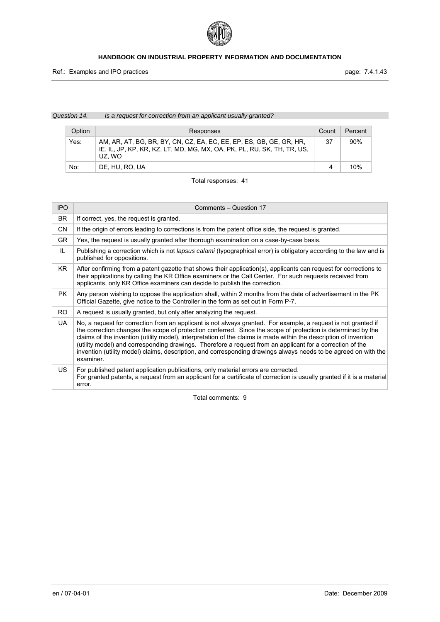

*Question 14. Is a request for correction from an applicant usually granted?* 

| Option | Responses                                                                                                                                                | Count | Percent |
|--------|----------------------------------------------------------------------------------------------------------------------------------------------------------|-------|---------|
| Yes:   | AM, AR, AT, BG, BR, BY, CN, CZ, EA, EC, EE, EP, ES, GB, GE, GR, HR,<br>IE, IL, JP, KP, KR, KZ, LT, MD, MG, MX, OA, PK, PL, RU, SK, TH, TR, US,<br>UZ. WO | 37    | 90%     |
| No:    | DE. HU. RO. UA                                                                                                                                           |       | 10%     |

# Total responses: 41

| <b>IPO</b> | Comments – Question 17                                                                                                                                                                                                                                                                                                                                                                                                                                                                                                                                                                           |
|------------|--------------------------------------------------------------------------------------------------------------------------------------------------------------------------------------------------------------------------------------------------------------------------------------------------------------------------------------------------------------------------------------------------------------------------------------------------------------------------------------------------------------------------------------------------------------------------------------------------|
| BR.        | If correct, yes, the request is granted.                                                                                                                                                                                                                                                                                                                                                                                                                                                                                                                                                         |
| <b>CN</b>  | If the origin of errors leading to corrections is from the patent office side, the request is granted.                                                                                                                                                                                                                                                                                                                                                                                                                                                                                           |
| <b>GR</b>  | Yes, the request is usually granted after thorough examination on a case-by-case basis.                                                                                                                                                                                                                                                                                                                                                                                                                                                                                                          |
| IL.        | Publishing a correction which is not lapsus calami (typographical error) is obligatory according to the law and is<br>published for oppositions.                                                                                                                                                                                                                                                                                                                                                                                                                                                 |
| KR.        | After confirming from a patent gazette that shows their application(s), applicants can request for corrections to<br>their applications by calling the KR Office examiners or the Call Center. For such requests received from<br>applicants, only KR Office examiners can decide to publish the correction.                                                                                                                                                                                                                                                                                     |
| <b>PK</b>  | Any person wishing to oppose the application shall, within 2 months from the date of advertisement in the PK<br>Official Gazette, give notice to the Controller in the form as set out in Form P-7.                                                                                                                                                                                                                                                                                                                                                                                              |
| RO.        | A request is usually granted, but only after analyzing the request.                                                                                                                                                                                                                                                                                                                                                                                                                                                                                                                              |
| UA.        | No, a request for correction from an applicant is not always granted. For example, a request is not granted if<br>the correction changes the scope of protection conferred. Since the scope of protection is determined by the<br>claims of the invention (utility model), interpretation of the claims is made within the description of invention<br>(utility model) and corresponding drawings. Therefore a request from an applicant for a correction of the<br>invention (utility model) claims, description, and corresponding drawings always needs to be agreed on with the<br>examiner. |
| US.        | For published patent application publications, only material errors are corrected.<br>For granted patents, a request from an applicant for a certificate of correction is usually granted if it is a material<br>error.                                                                                                                                                                                                                                                                                                                                                                          |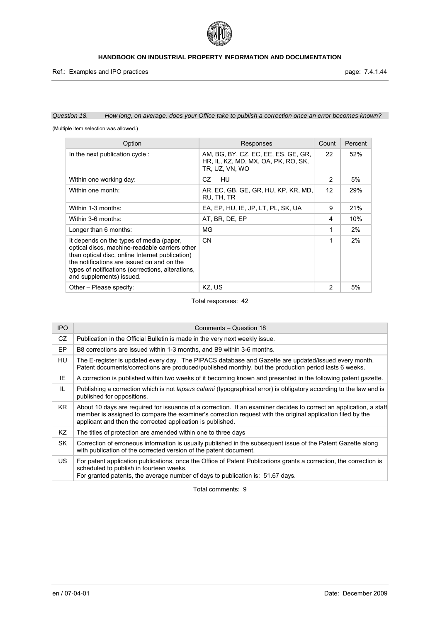

Ref.: Examples and IPO practices **page: 7.4.1.44** 

# *Question 18. How long, on average, does your Office take to publish a correction once an error becomes known?*

(Multiple item selection was allowed.)

| Option                                                                                                                                                                                                                                                                       | Responses                                                                                    | Count        | Percent |
|------------------------------------------------------------------------------------------------------------------------------------------------------------------------------------------------------------------------------------------------------------------------------|----------------------------------------------------------------------------------------------|--------------|---------|
| In the next publication cycle:                                                                                                                                                                                                                                               | AM, BG, BY, CZ, EC, EE, ES, GE, GR,<br>HR, IL, KZ, MD, MX, OA, PK, RO, SK,<br>TR, UZ, VN, WO | 22           | 52%     |
| Within one working day:                                                                                                                                                                                                                                                      | CZ.<br>HU                                                                                    | $\mathbf{2}$ | 5%      |
| Within one month:                                                                                                                                                                                                                                                            | AR, EC, GB, GE, GR, HU, KP, KR, MD,<br>RU, TH, TR                                            | 12           | 29%     |
| Within 1-3 months:                                                                                                                                                                                                                                                           | EA, EP, HU, IE, JP, LT, PL, SK, UA                                                           | 9            | 21%     |
| Within 3-6 months:                                                                                                                                                                                                                                                           | AT, BR, DE, EP                                                                               | 4            | 10%     |
| Longer than 6 months:                                                                                                                                                                                                                                                        | MG                                                                                           | 1            | 2%      |
| It depends on the types of media (paper,<br>optical discs, machine-readable carriers other<br>than optical disc, online Internet publication)<br>the notifications are issued on and on the<br>types of notifications (corrections, alterations,<br>and supplements) issued. | <b>CN</b>                                                                                    | 1            | 2%      |
| Other – Please specify:                                                                                                                                                                                                                                                      | KZ, US                                                                                       | 2            | 5%      |

# Total responses: 42

| <b>IPO</b> | Comments - Question 18                                                                                                                                                                                                                                                                         |
|------------|------------------------------------------------------------------------------------------------------------------------------------------------------------------------------------------------------------------------------------------------------------------------------------------------|
| CZ         | Publication in the Official Bulletin is made in the very next weekly issue.                                                                                                                                                                                                                    |
| EP         | B8 corrections are issued within 1-3 months, and B9 within 3-6 months.                                                                                                                                                                                                                         |
| HU         | The E-register is updated every day. The PIPACS database and Gazette are updated/issued every month.<br>Patent documents/corrections are produced/published monthly, but the production period lasts 6 weeks.                                                                                  |
| IE         | A correction is published within two weeks of it becoming known and presented in the following patent gazette.                                                                                                                                                                                 |
| IL         | Publishing a correction which is not <i>lapsus calami</i> (typographical error) is obligatory according to the law and is<br>published for oppositions.                                                                                                                                        |
| KR.        | About 10 days are required for issuance of a correction. If an examiner decides to correct an application, a staff<br>member is assigned to compare the examiner's correction request with the original application filed by the<br>applicant and then the corrected application is published. |
| KZ         | The titles of protection are amended within one to three days                                                                                                                                                                                                                                  |
| <b>SK</b>  | Correction of erroneous information is usually published in the subsequent issue of the Patent Gazette along<br>with publication of the corrected version of the patent document.                                                                                                              |
| US.        | For patent application publications, once the Office of Patent Publications grants a correction, the correction is<br>scheduled to publish in fourteen weeks.<br>For granted patents, the average number of days to publication is: 51.67 days.                                                |